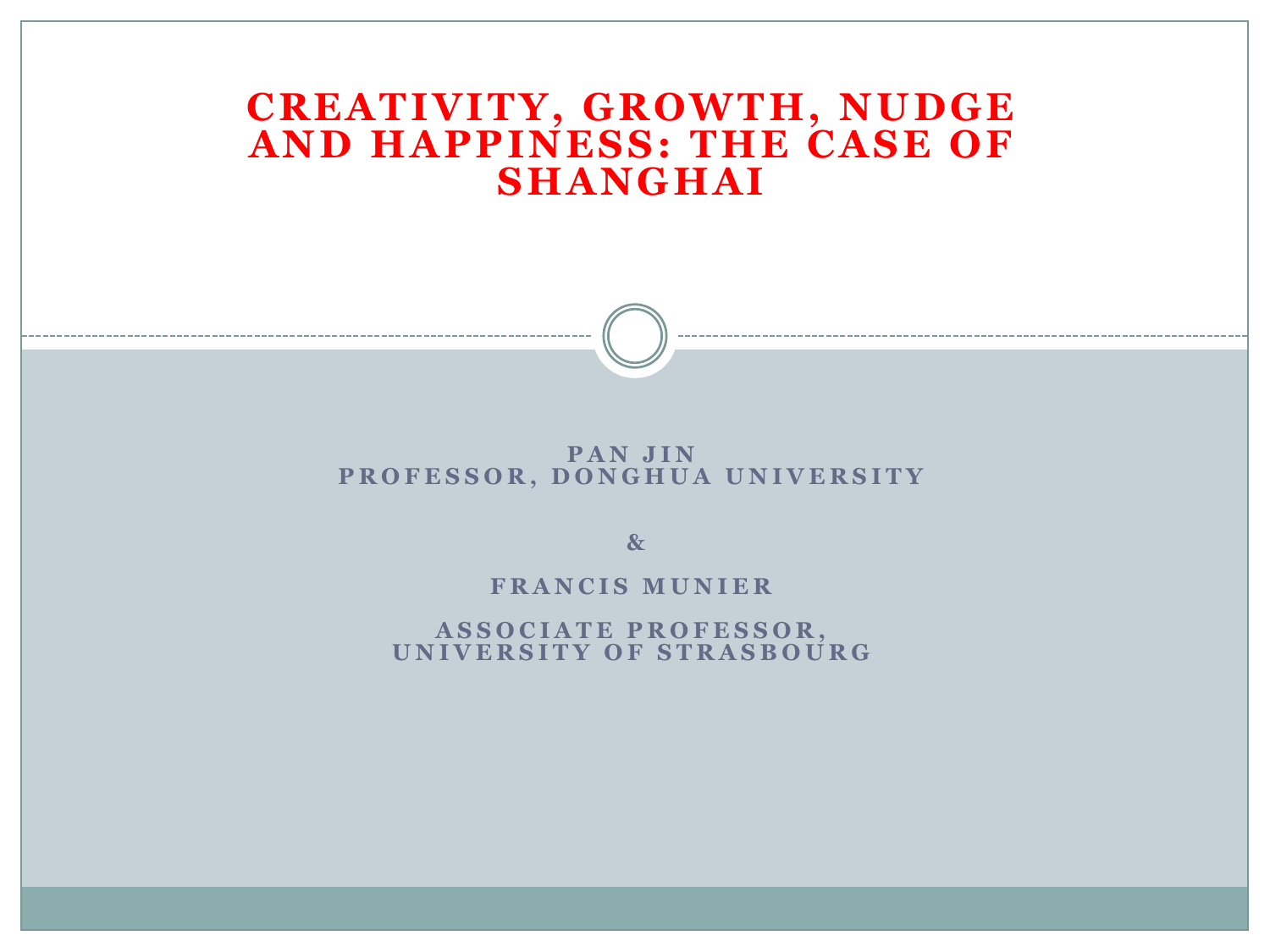#### **CREATIVITY, GROWTH, NUDGE AND HAPPINESS: THE CASE OF SHANGHAI**

PAN JIN PROFESSOR, DONGHUA UNIVERSITY

**&**

**FRANCIS MUNIER** 

**A S S O C I A T E P R O F E S S O R , U N I V E R S I T Y O F S T R A S B O U R G**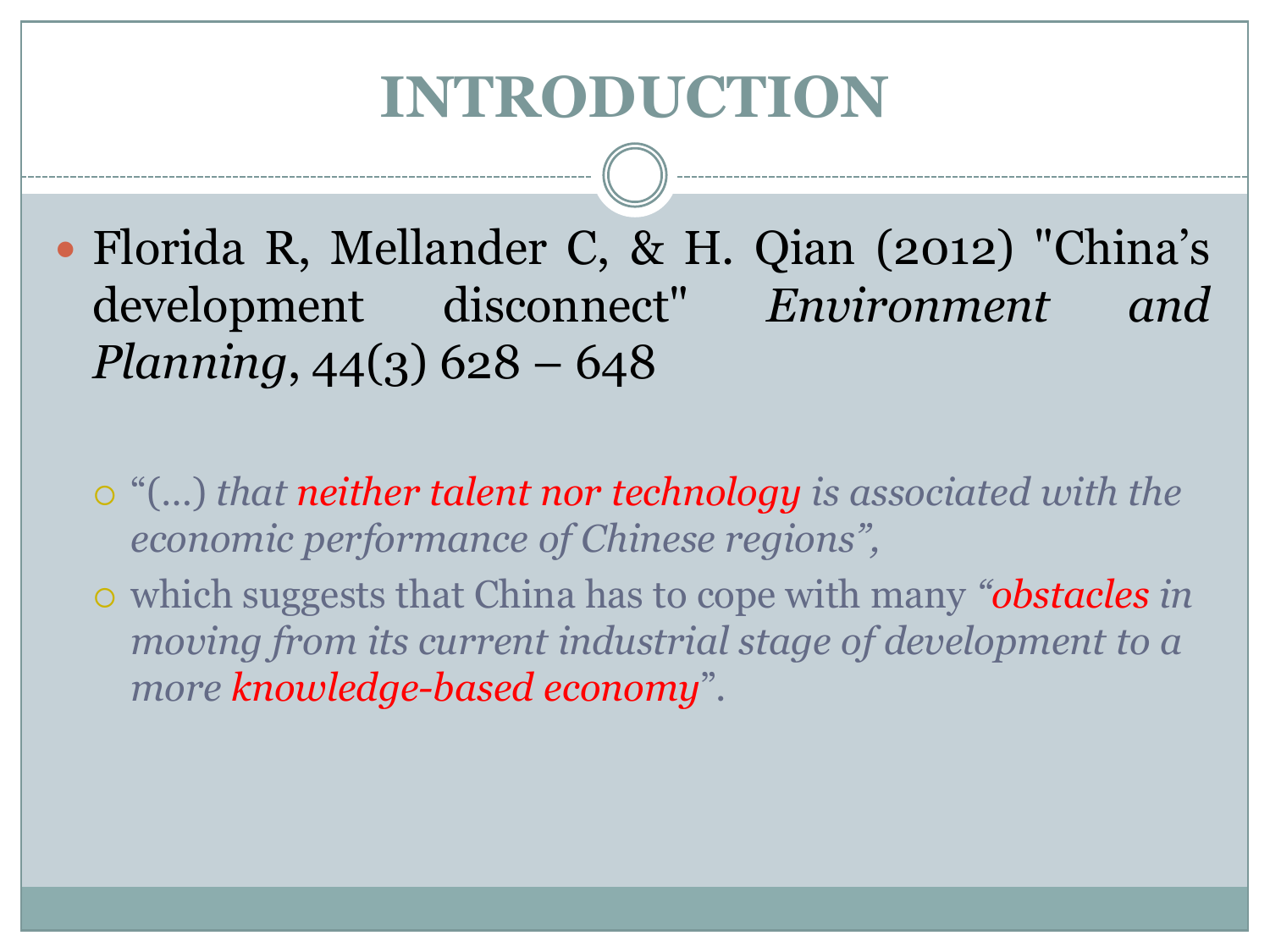- Florida R, Mellander C, & H. Qian (2012) "China's development disconnect" *Environment and Planning*, 44(3) 628 – 648
	- "(…) *that neither talent nor technology is associated with the economic performance of Chinese regions",*
	- which suggests that China has to cope with many *"obstacles in moving from its current industrial stage of development to a more knowledge-based economy*".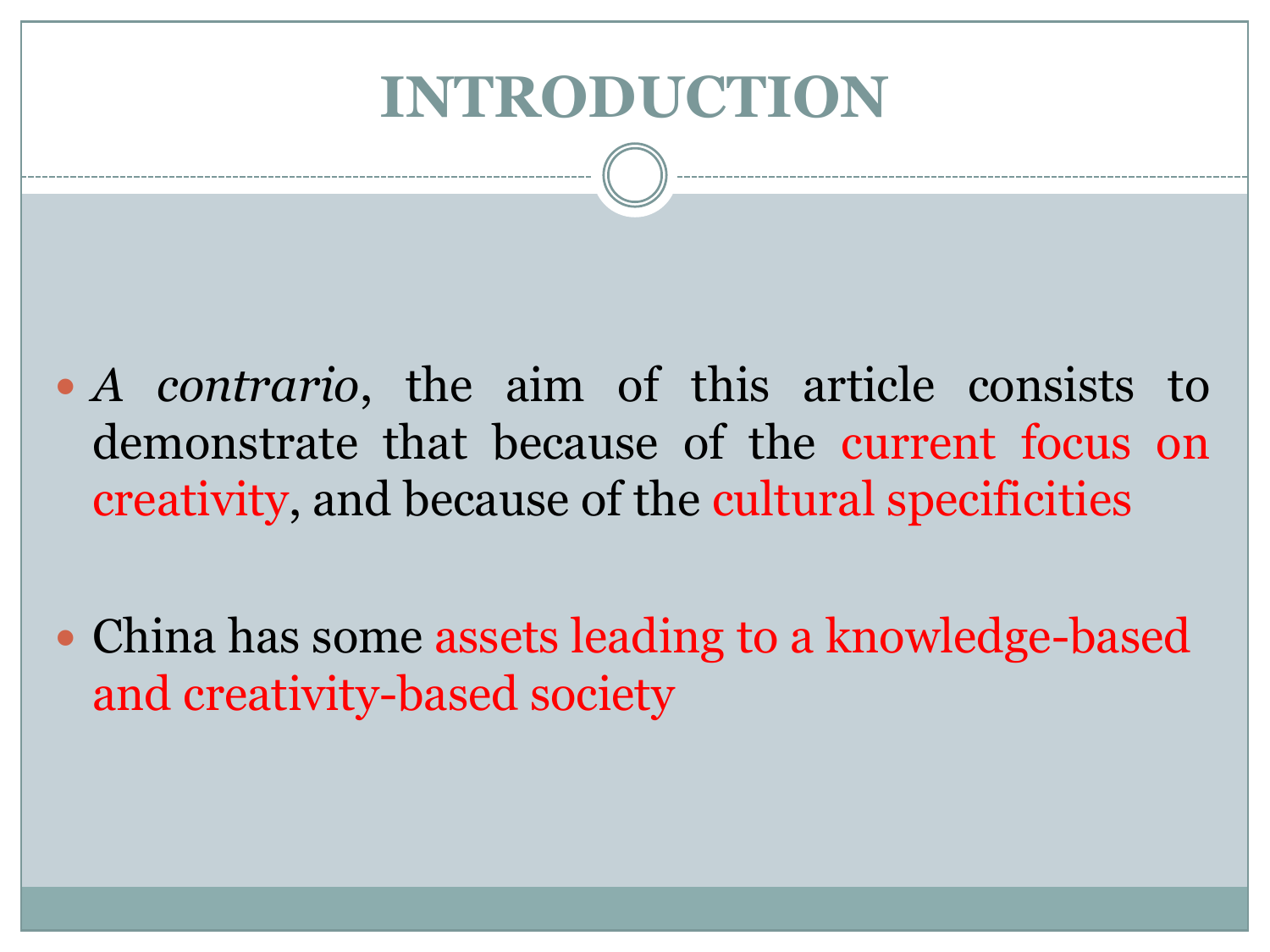- *A contrario*, the aim of this article consists to demonstrate that because of the current focus on creativity, and because of the cultural specificities
- China has some assets leading to a knowledge-based and creativity-based society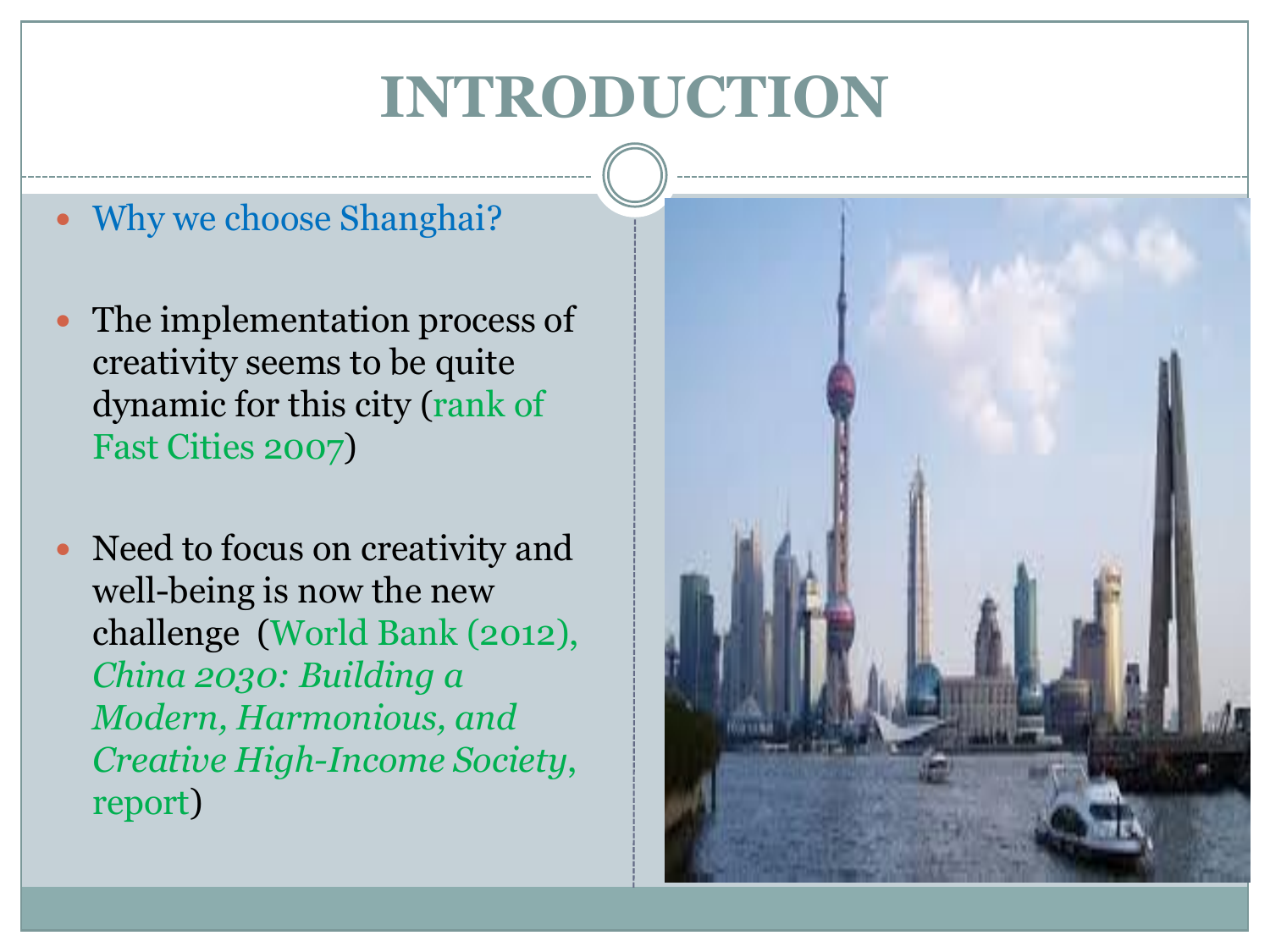- Why we choose Shanghai?
- The implementation process of creativity seems to be quite dynamic for this city (rank of Fast Cities 2007)
- Need to focus on creativity and well-being is now the new challenge (World Bank (2012), *China 2030: Building a Modern, Harmonious, and Creative High-Income Society*, report)

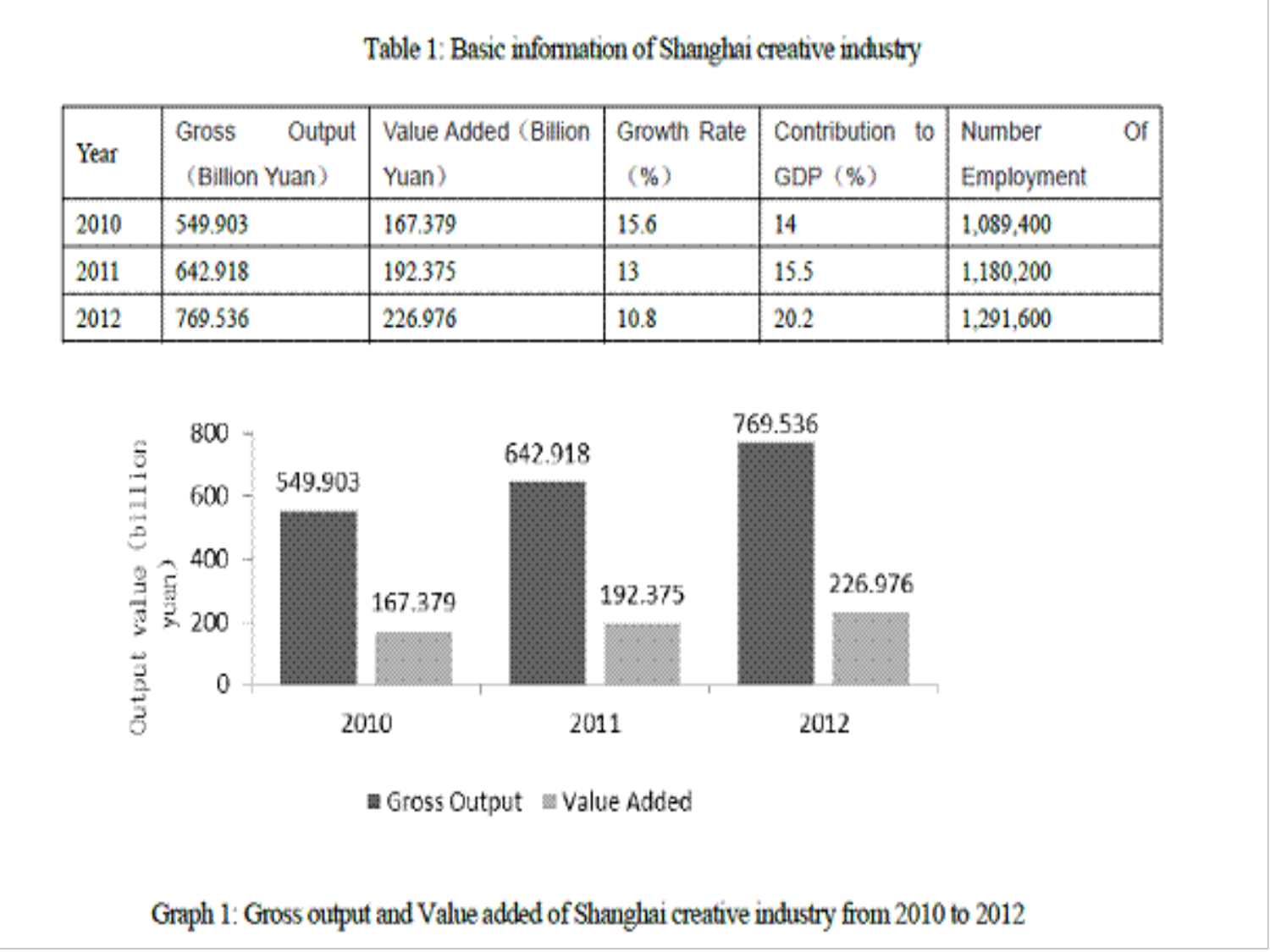#### Table 1: Basic information of Shanghai creative industry

| Year | Output<br><b>Gross</b> | Value Added (Billion   Growth Rate   Contribution |      | to i                  | Number     |
|------|------------------------|---------------------------------------------------|------|-----------------------|------------|
|      | (Billion Yuan)         | <b>Yuan</b>                                       | (%)  | $($ %) $^{-}$<br>GDP. | Employment |
| 2010 | 549.903                | 167.379                                           | 15.6 | 14                    | 1,089,400  |
| 2011 | 642.918                | 192.375                                           |      | 155                   | 1,180,200  |
| 2012 | 769.536                | 226.976                                           | 10.8 | 20 2                  | 1,291,600  |



**■ Gross Output ■ Value Added** 

#### Graph 1: Gross output and Value added of Shanghai creative industry from 2010 to 2012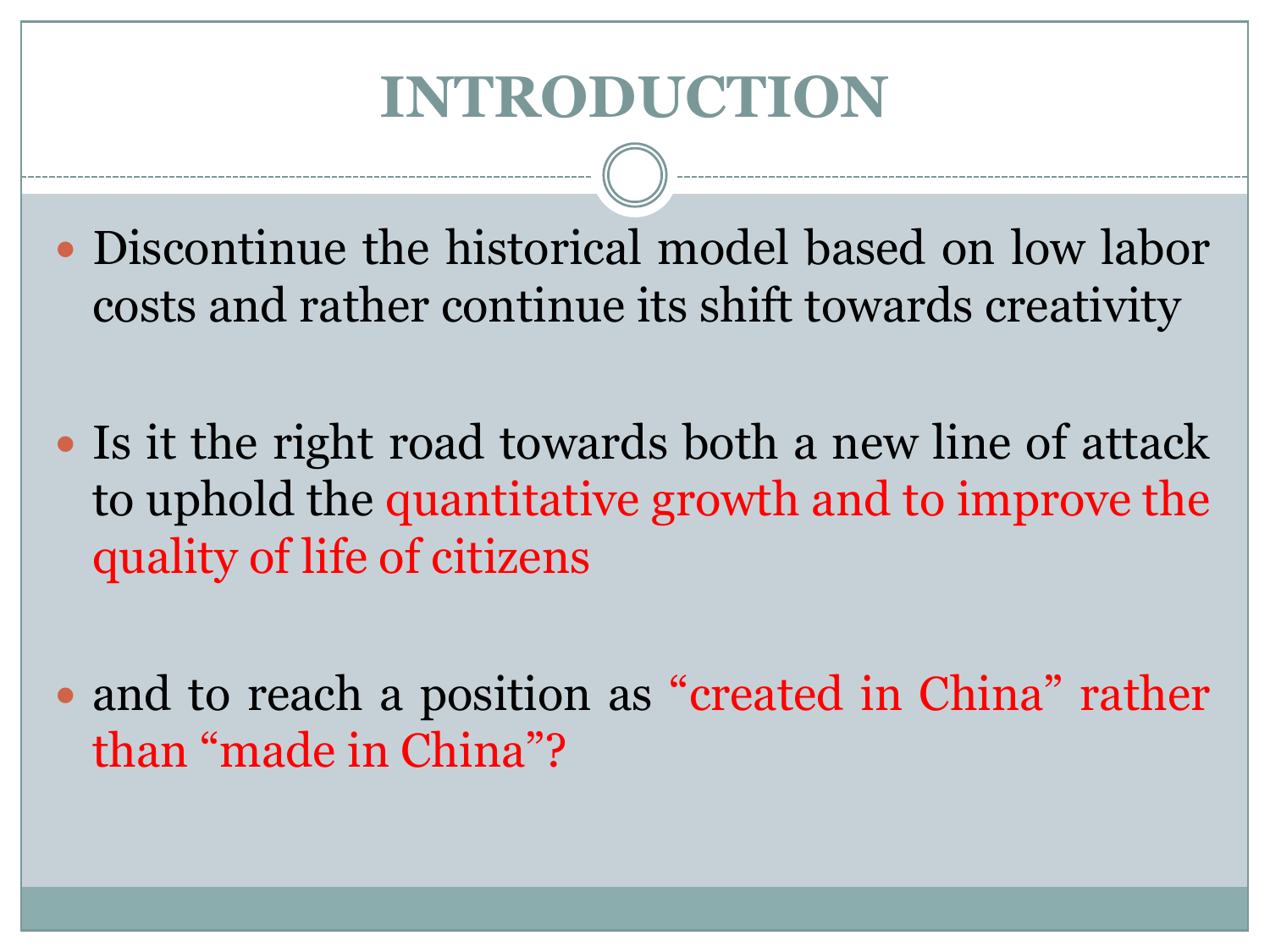Discontinue the historical model based on low labor costs and rather continue its shift towards creativity

 Is it the right road towards both a new line of attack to uphold the quantitative growth and to improve the quality of life of citizens

• and to reach a position as "created in China" rather than "made in China"?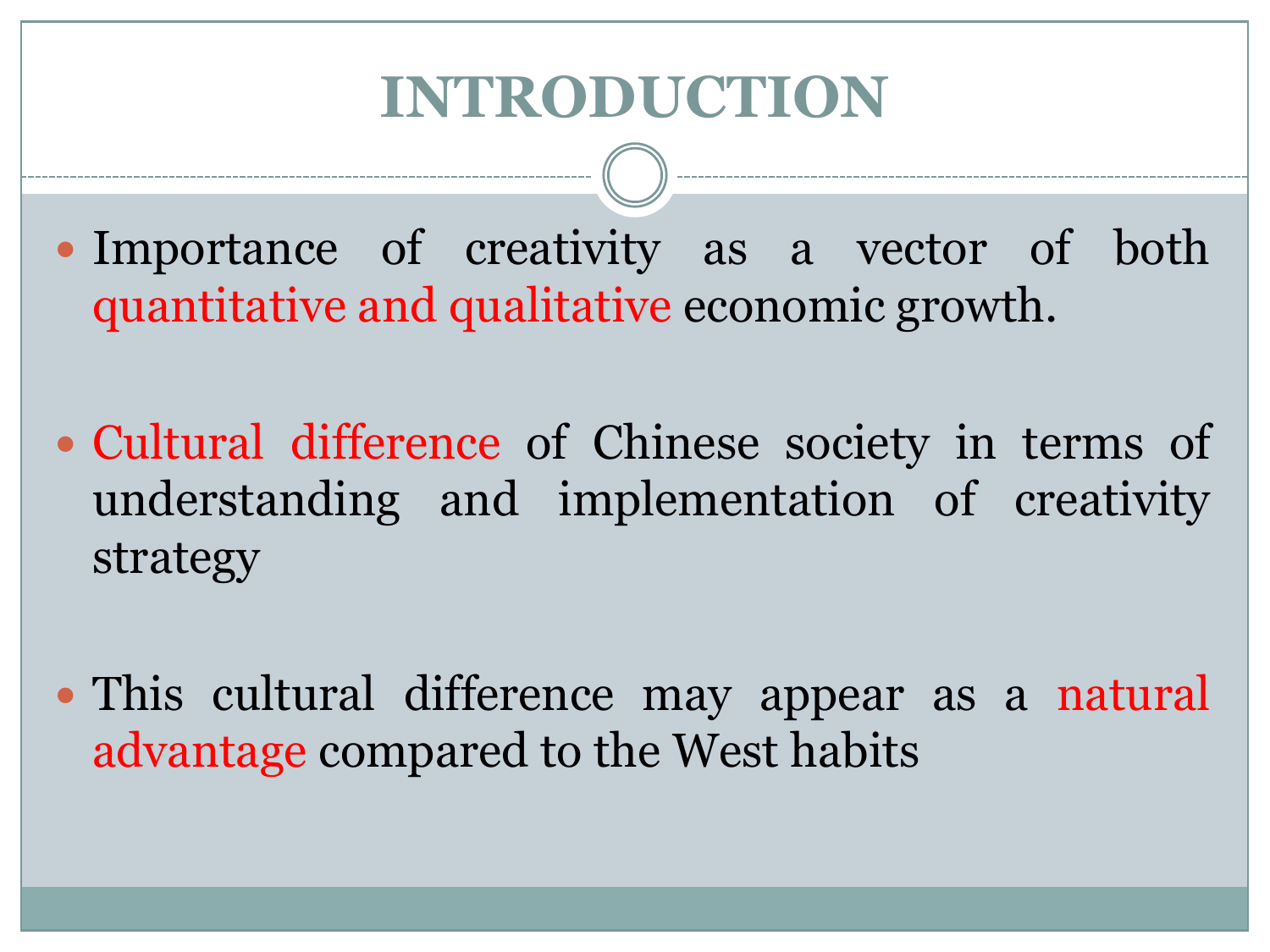• Importance of creativity as a vector of both quantitative and qualitative economic growth.

- Cultural difference of Chinese society in terms of understanding and implementation of creativity strategy
- This cultural difference may appear as a natural advantage compared to the West habits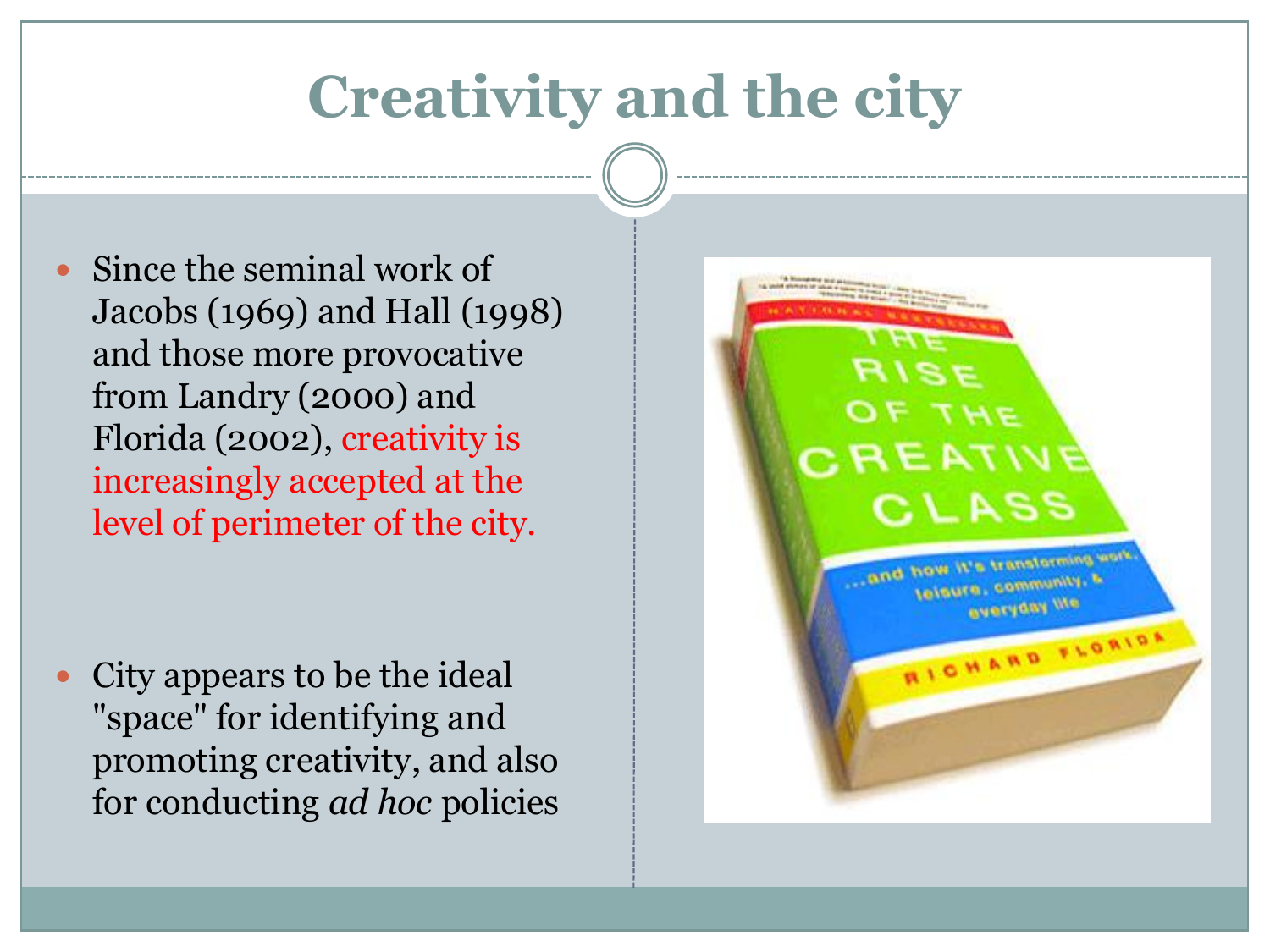## **Creativity and the city**

 Since the seminal work of Jacobs (1969) and Hall (1998) and those more provocative from Landry (2000) and Florida (2002), creativity is increasingly accepted at the level of perimeter of the city.

 City appears to be the ideal "space" for identifying and promoting creativity, and also for conducting *ad hoc* policies

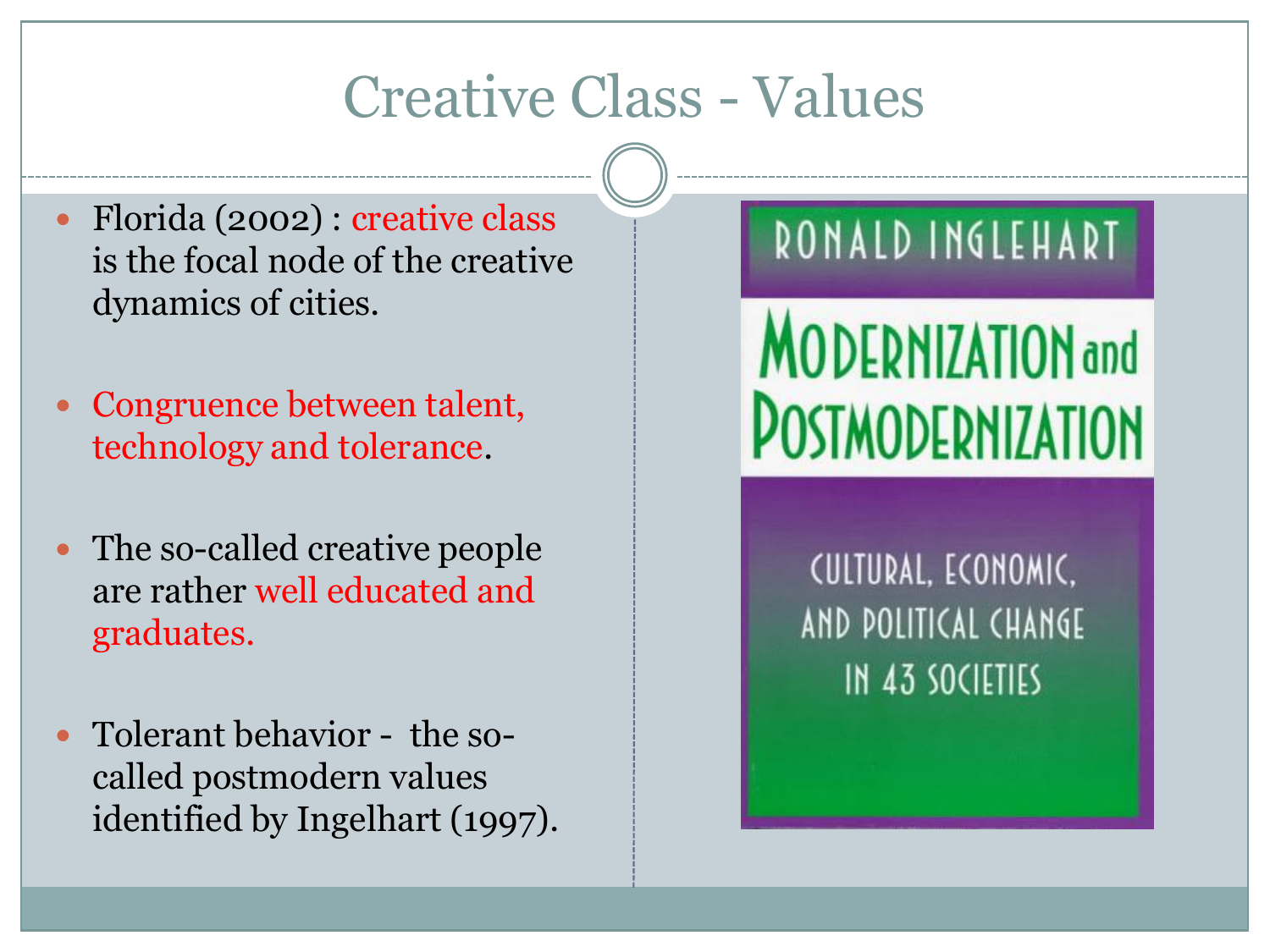### Creative Class - Values

- Florida (2002) : creative class is the focal node of the creative dynamics of cities.
- Congruence between talent, technology and tolerance.
- The so-called creative people are rather well educated and graduates.
- Tolerant behavior the socalled postmodern values identified by Ingelhart (1997).

### RONALD INGLEHART

# **MODERNIZATION** and **POSTMODERNIZATION**

CULTURAL, ECONOMIC, AND POLITICAL CHANGE IN 43 SOCIETIES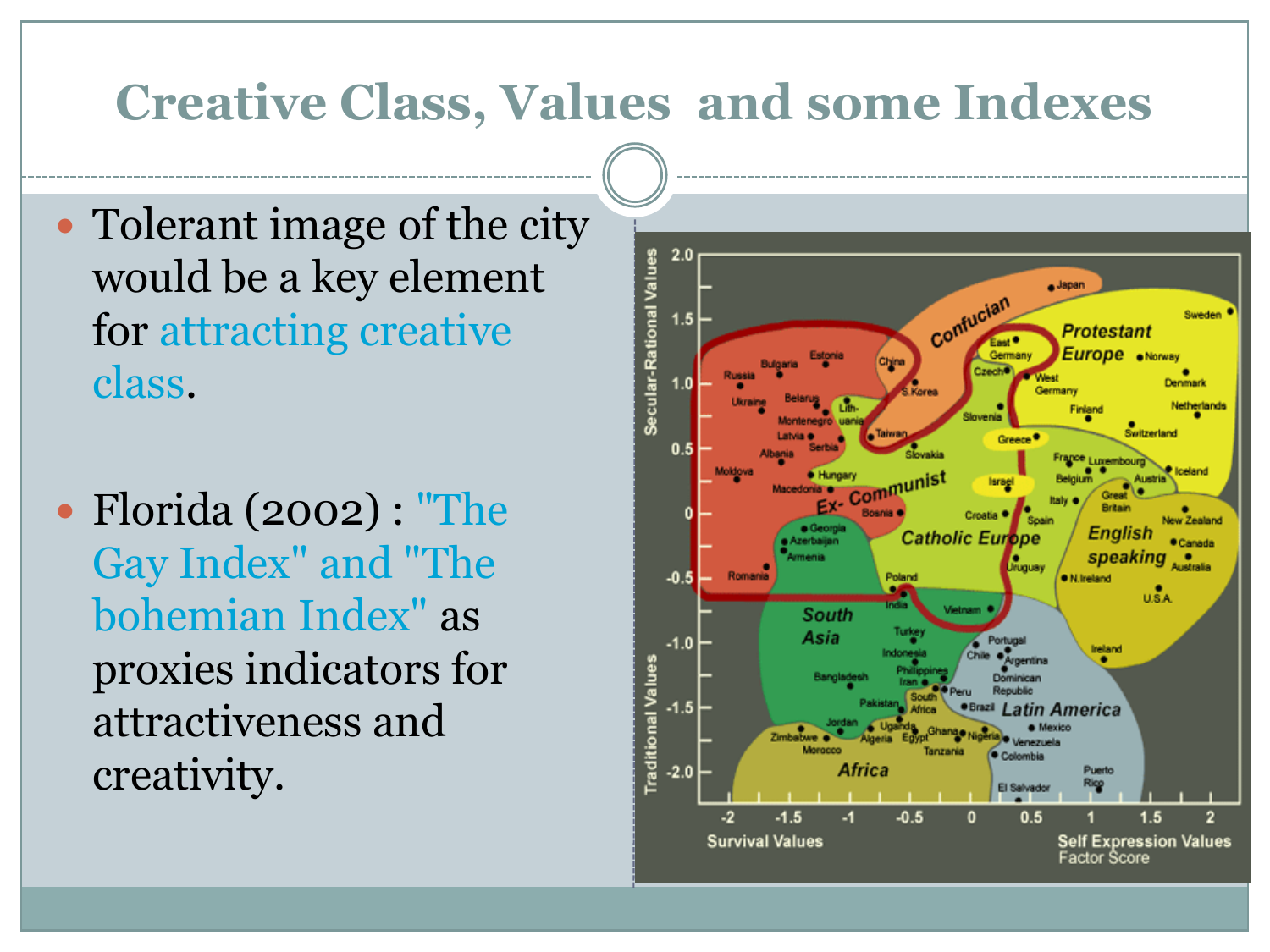### **Creative Class, Values and some Indexes**

- Tolerant image of the city would be a key element for attracting creative class.
- Florida (2002) : "The Gay Index" and "The bohemian Index" as proxies indicators for attractiveness and creativity.

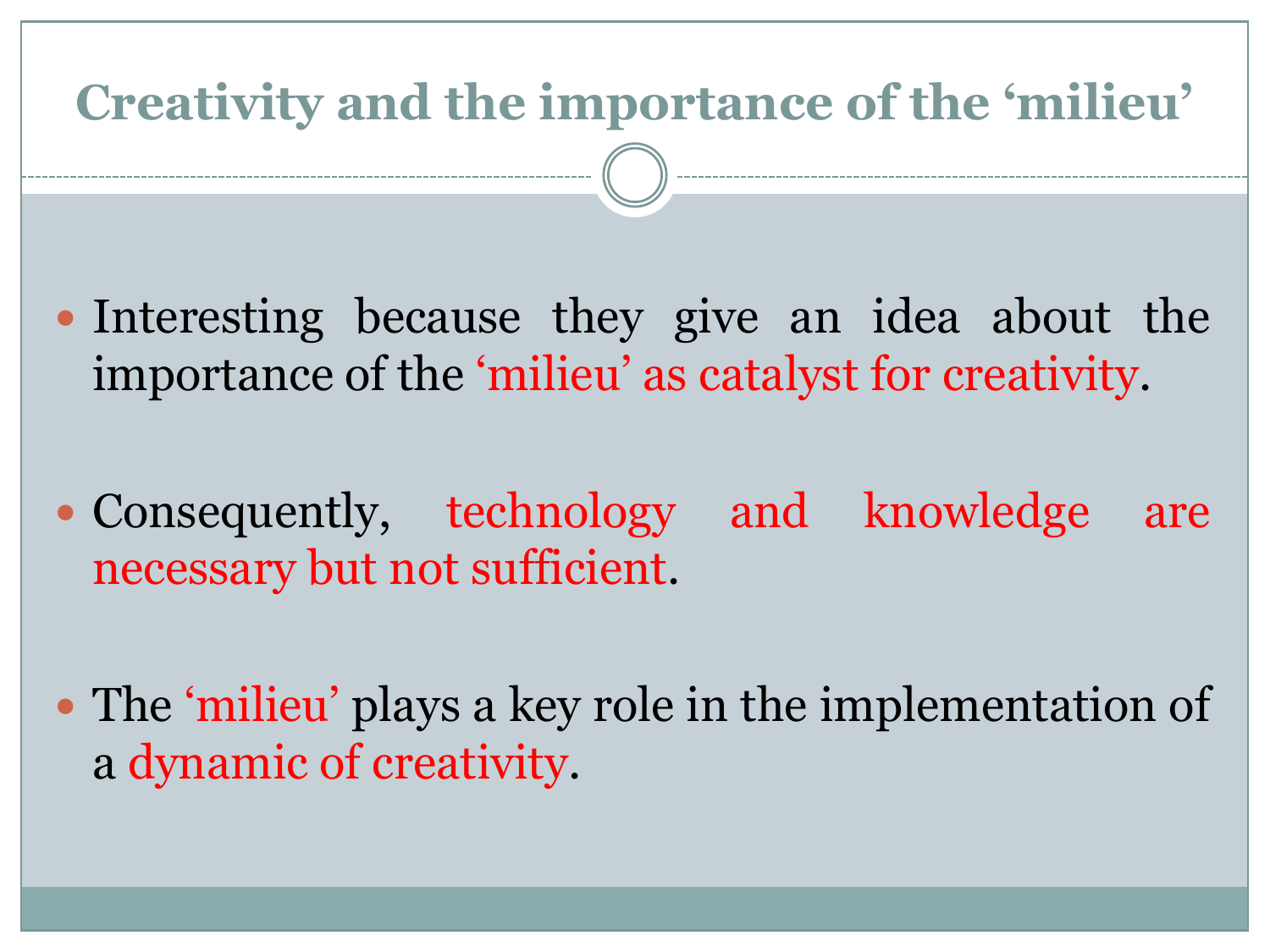### **Creativity and the importance of the "milieu"**

- Interesting because they give an idea about the importance of the 'milieu' as catalyst for creativity.
- Consequently, technology and knowledge are necessary but not sufficient.
- The 'milieu' plays a key role in the implementation of a dynamic of creativity.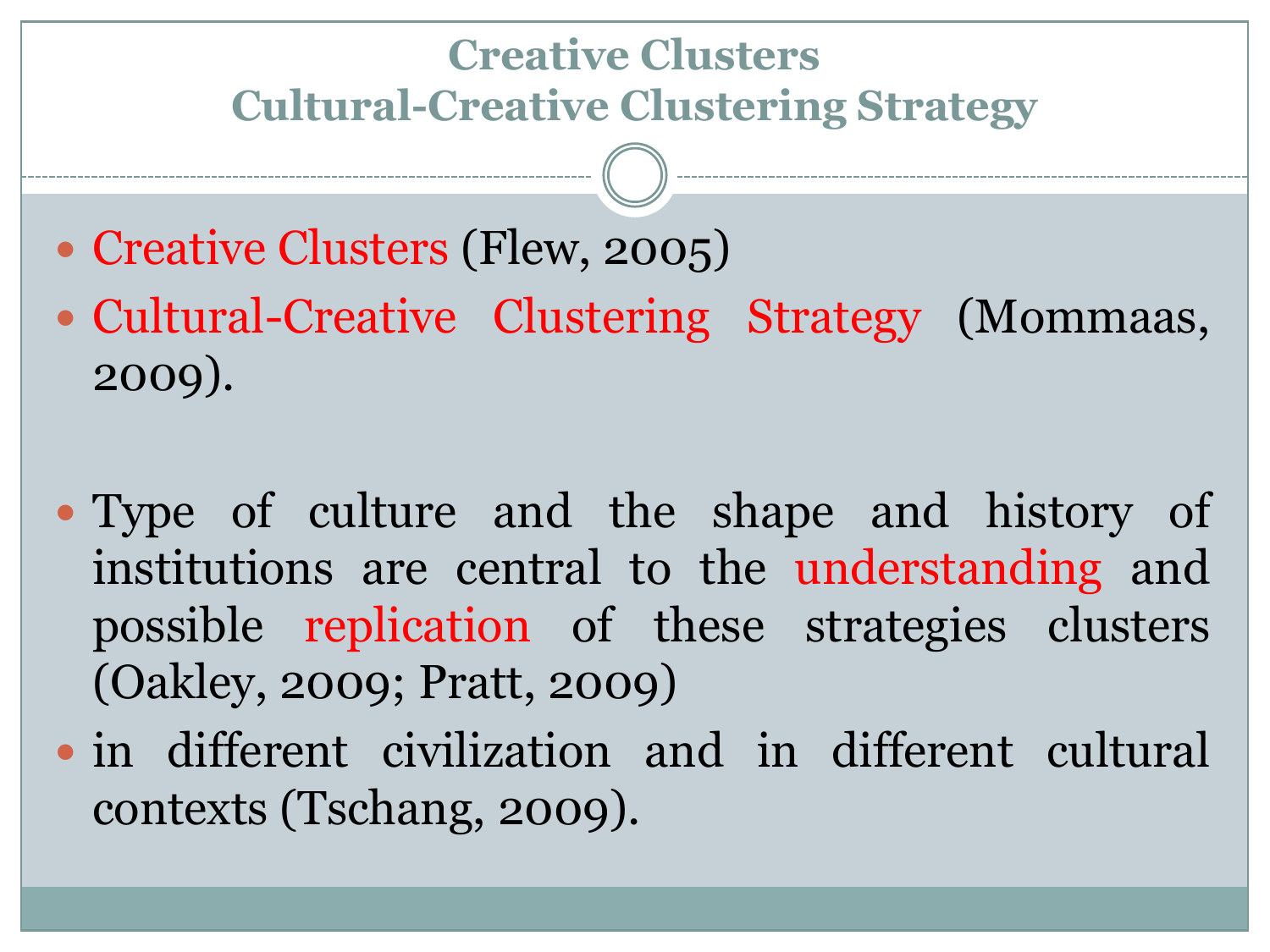### **Creative Clusters Cultural-Creative Clustering Strategy**

- Creative Clusters (Flew, 2005)
- Cultural-Creative Clustering Strategy (Mommaas, 2009).
- Type of culture and the shape and history of institutions are central to the understanding and possible replication of these strategies clusters (Oakley, 2009; Pratt, 2009)
- in different civilization and in different cultural contexts (Tschang, 2009).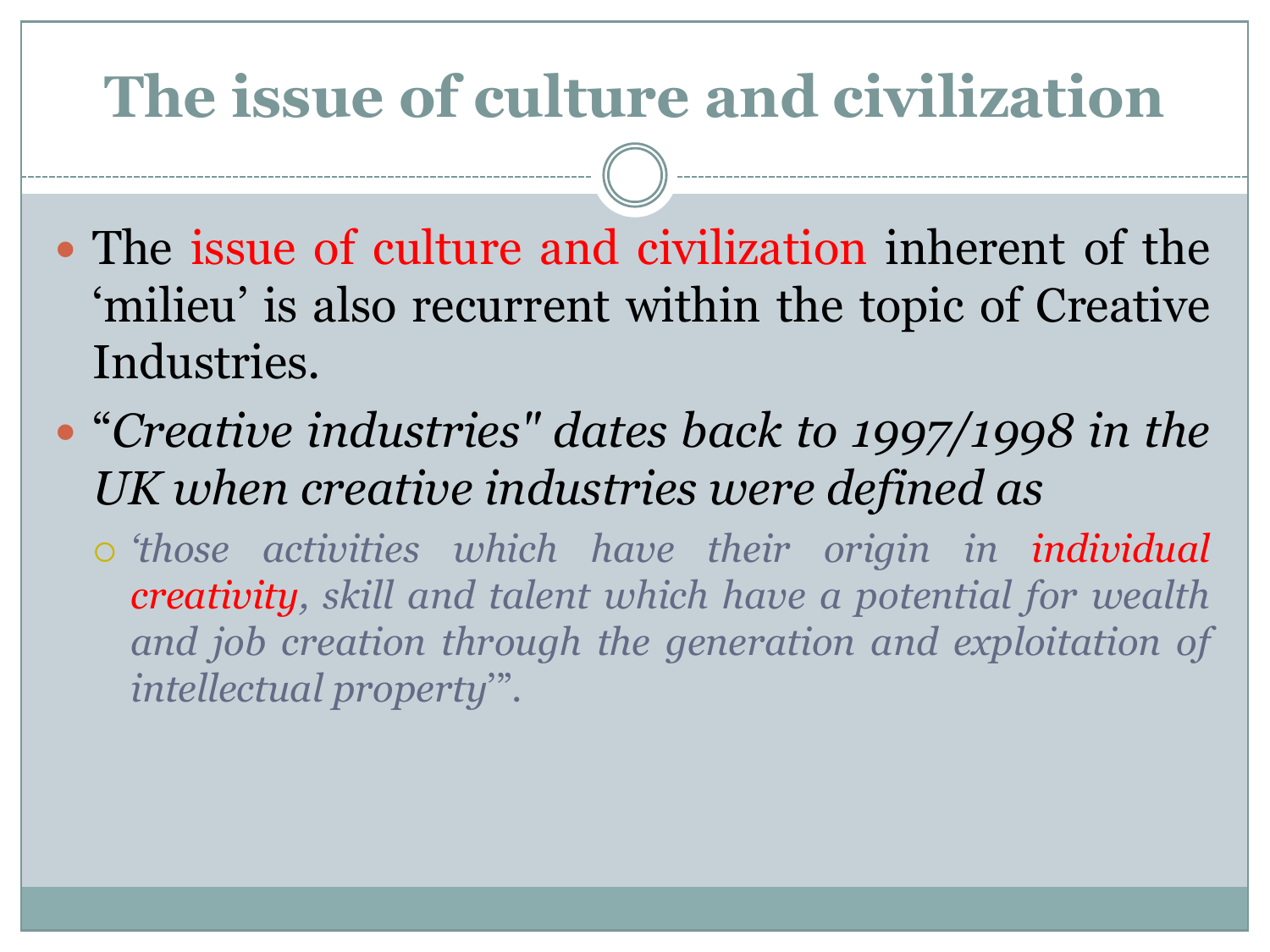## **The issue of culture and civilization**

- The issue of culture and civilization inherent of the 'milieu' is also recurrent within the topic of Creative Industries.
- "*Creative industries" dates back to 1997/1998 in the UK when creative industries were defined as*
	- *"those activities which have their origin in individual creativity, skill and talent which have a potential for wealth and job creation through the generation and exploitation of intellectual property*"".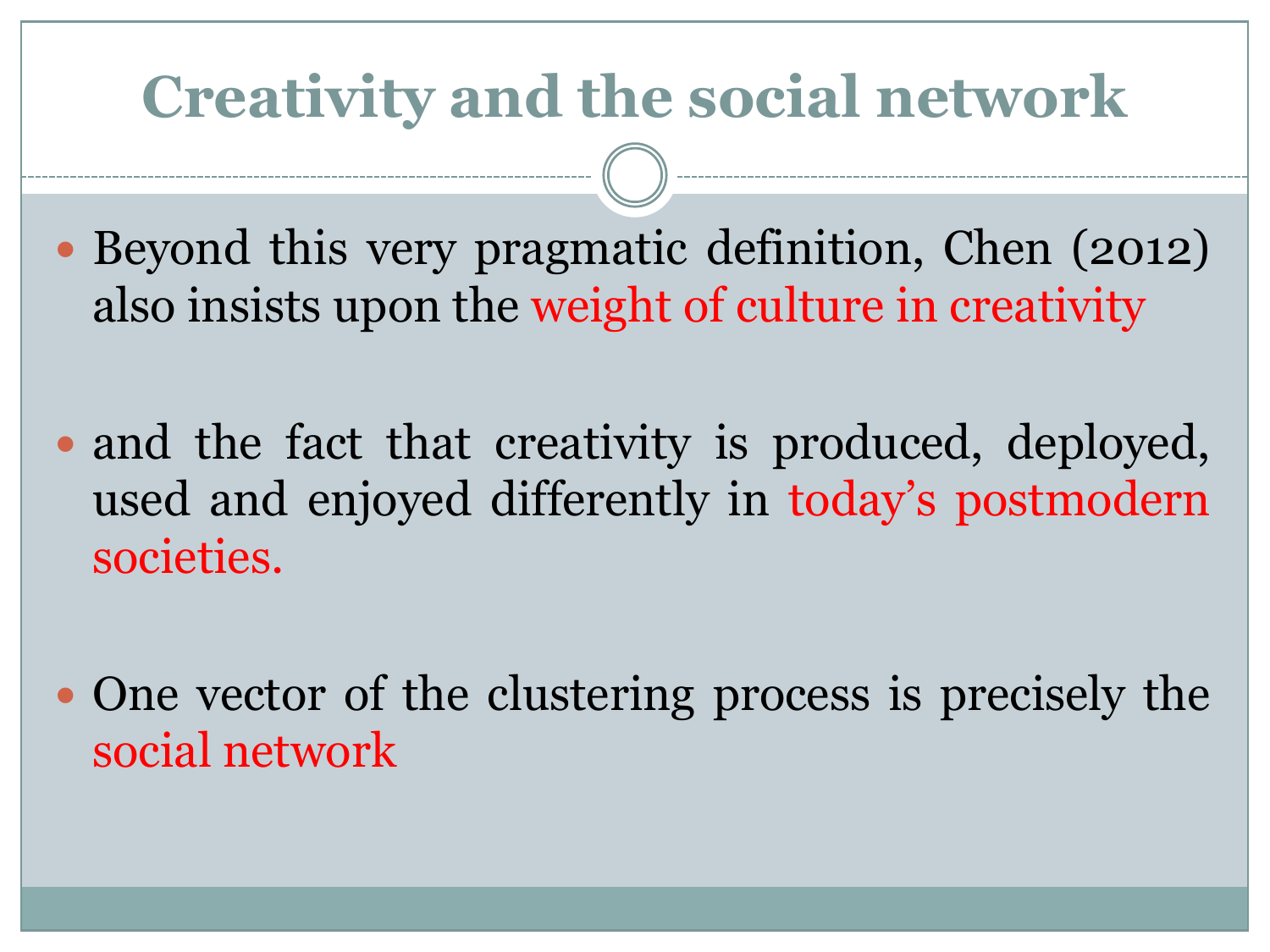## **Creativity and the social network**

 Beyond this very pragmatic definition, Chen (2012) also insists upon the weight of culture in creativity

• and the fact that creativity is produced, deployed, used and enjoyed differently in today's postmodern societies.

• One vector of the clustering process is precisely the social network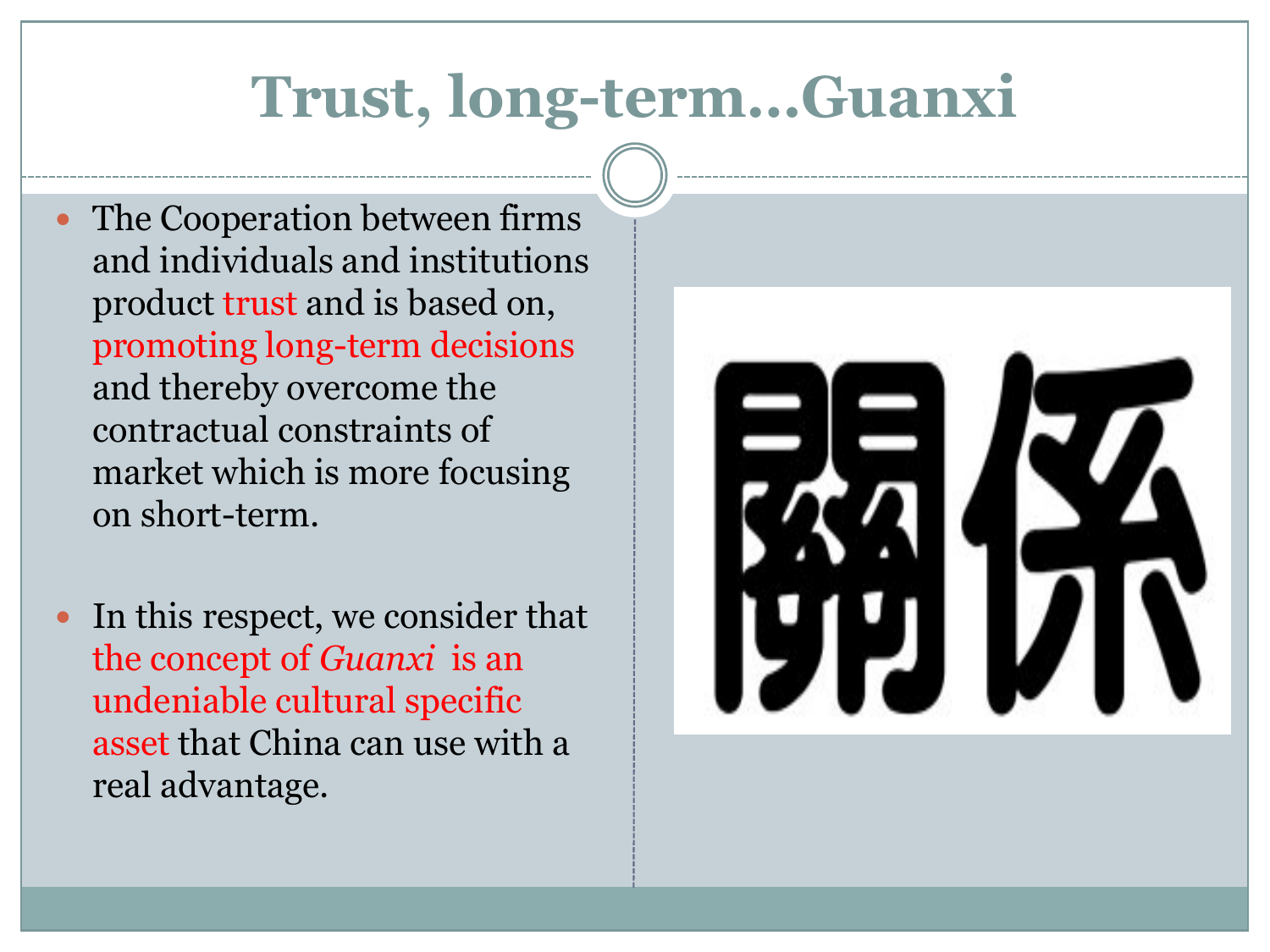## **Trust, long-term…Guanxi**

- The Cooperation between firms and individuals and institutions product trust and is based on, promoting long-term decisions and thereby overcome the contractual constraints of market which is more focusing on short-term.
- In this respect, we consider that the concept of *Guanxi* is an undeniable cultural specific asset that China can use with a real advantage.

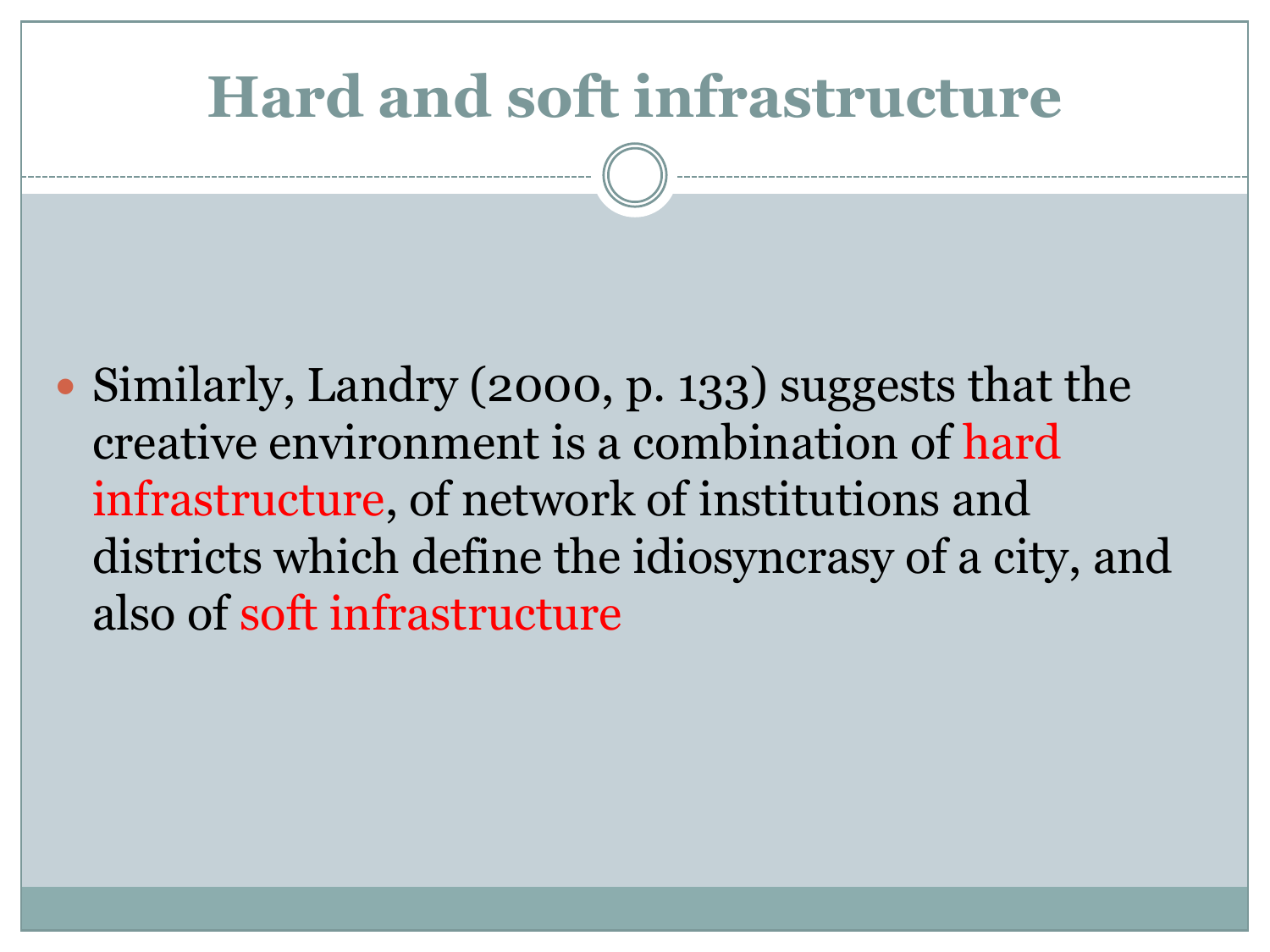### **Hard and soft infrastructure**

• Similarly, Landry (2000, p. 133) suggests that the creative environment is a combination of hard infrastructure, of network of institutions and districts which define the idiosyncrasy of a city, and also of soft infrastructure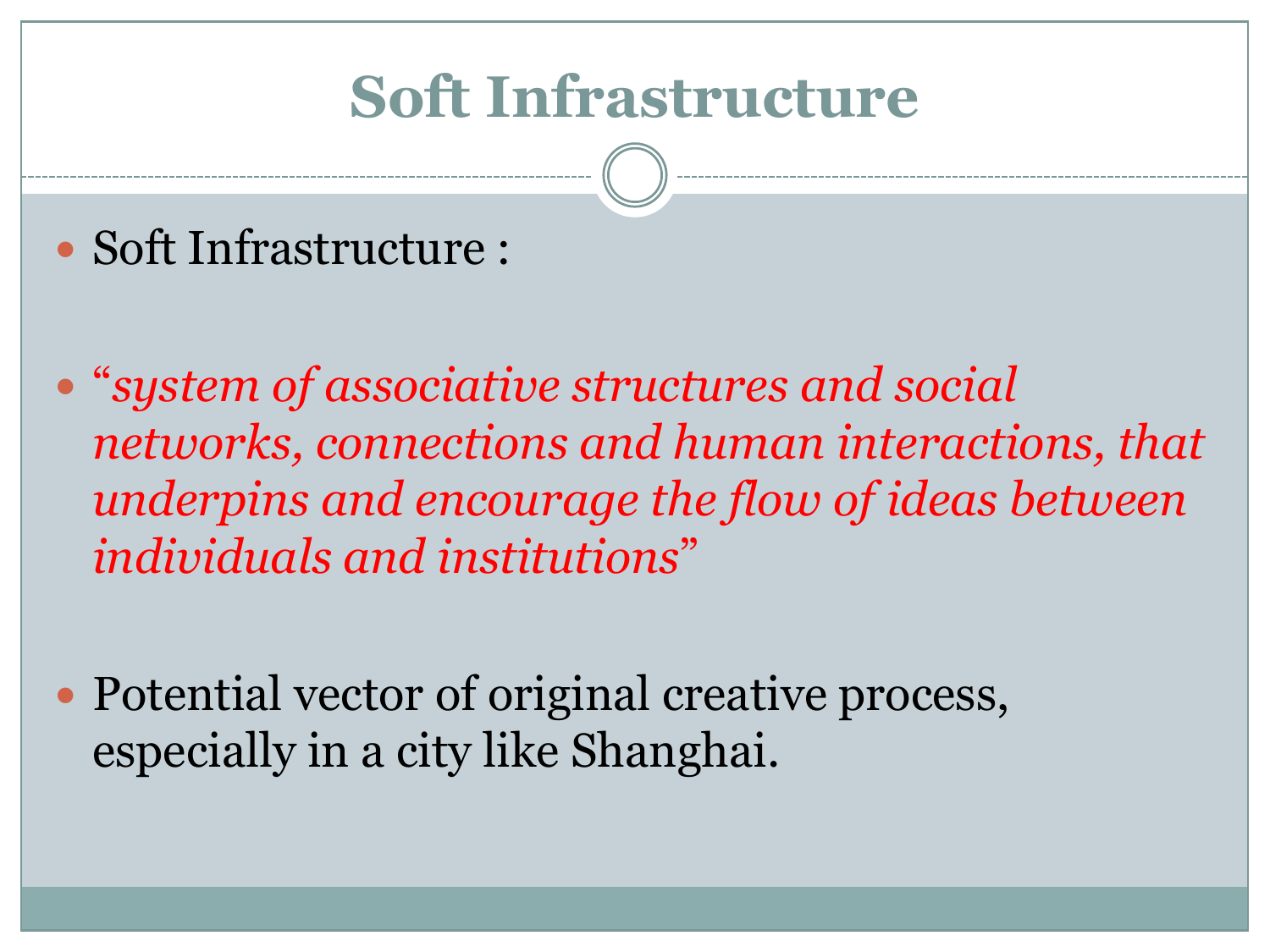### **Soft Infrastructure**

- Soft Infrastructure :
- "*system of associative structures and social networks, connections and human interactions, that underpins and encourage the flow of ideas between individuals and institutions*"
- Potential vector of original creative process, especially in a city like Shanghai.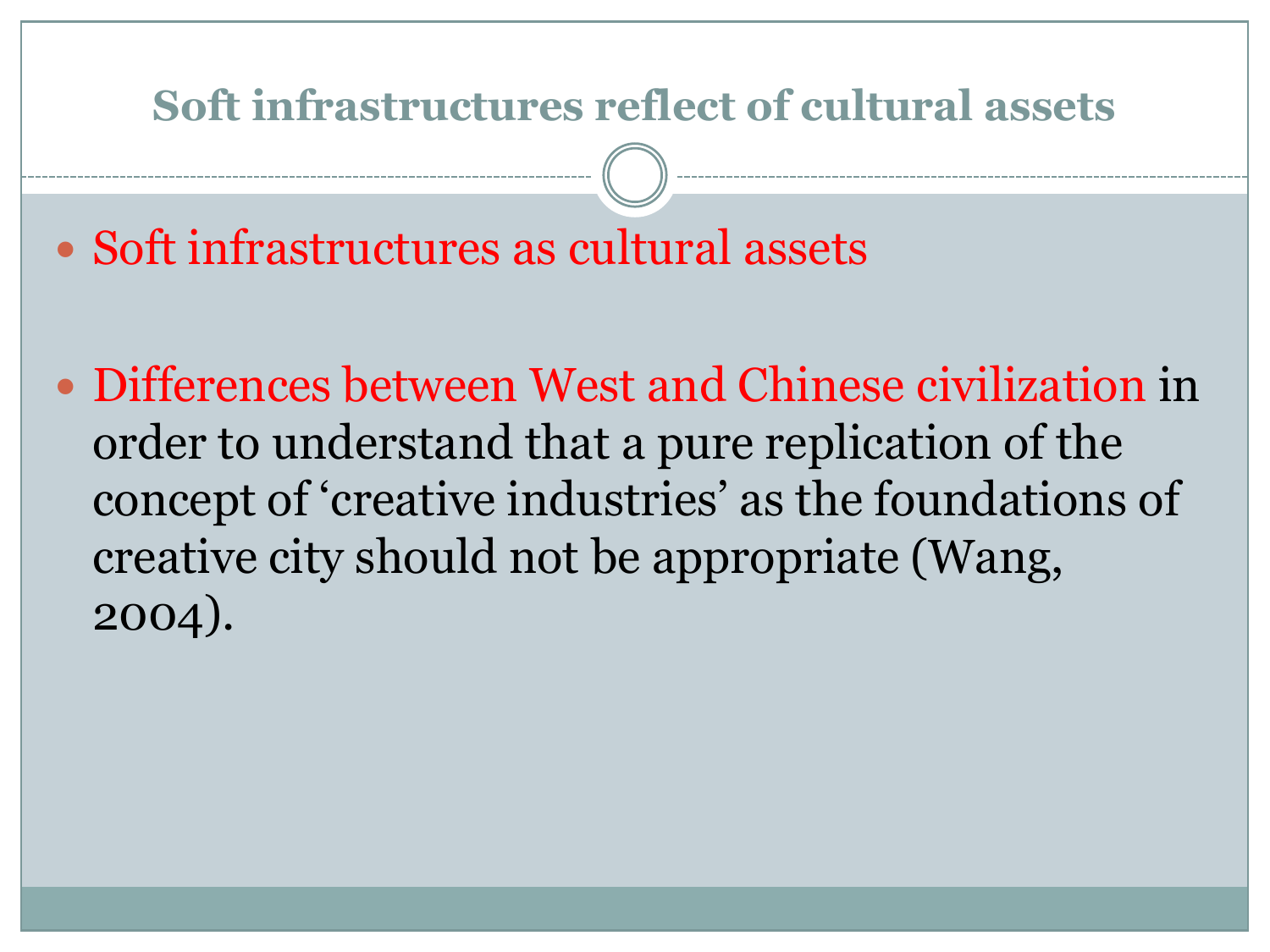### **Soft infrastructures reflect of cultural assets**

• Soft infrastructures as cultural assets

 Differences between West and Chinese civilization in order to understand that a pure replication of the concept of 'creative industries' as the foundations of creative city should not be appropriate (Wang, 2004).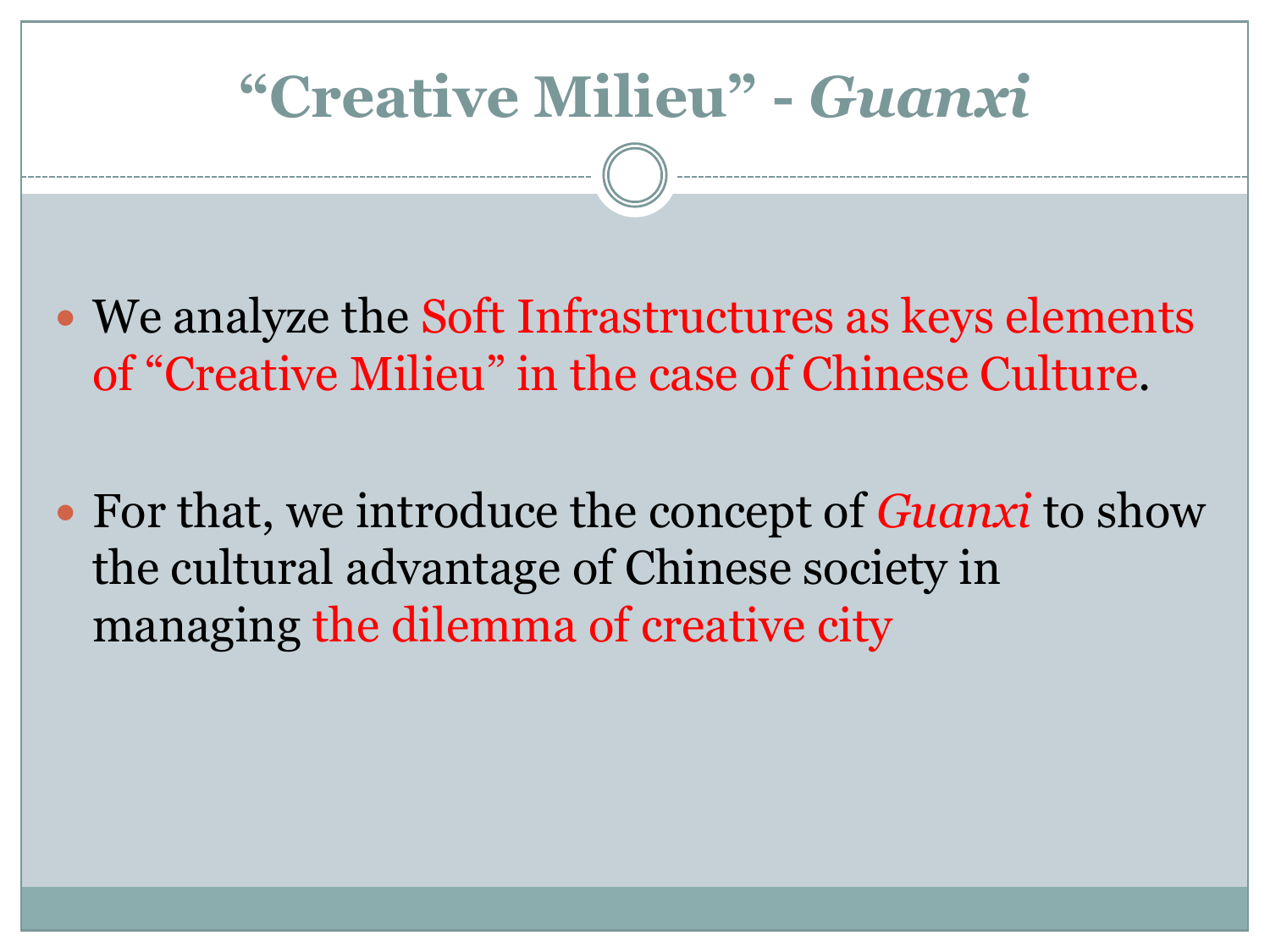## **"Creative Milieu" -** *Guanxi*

- We analyze the Soft Infrastructures as keys elements of "Creative Milieu" in the case of Chinese Culture.
- For that, we introduce the concept of *Guanxi* to show the cultural advantage of Chinese society in managing the dilemma of creative city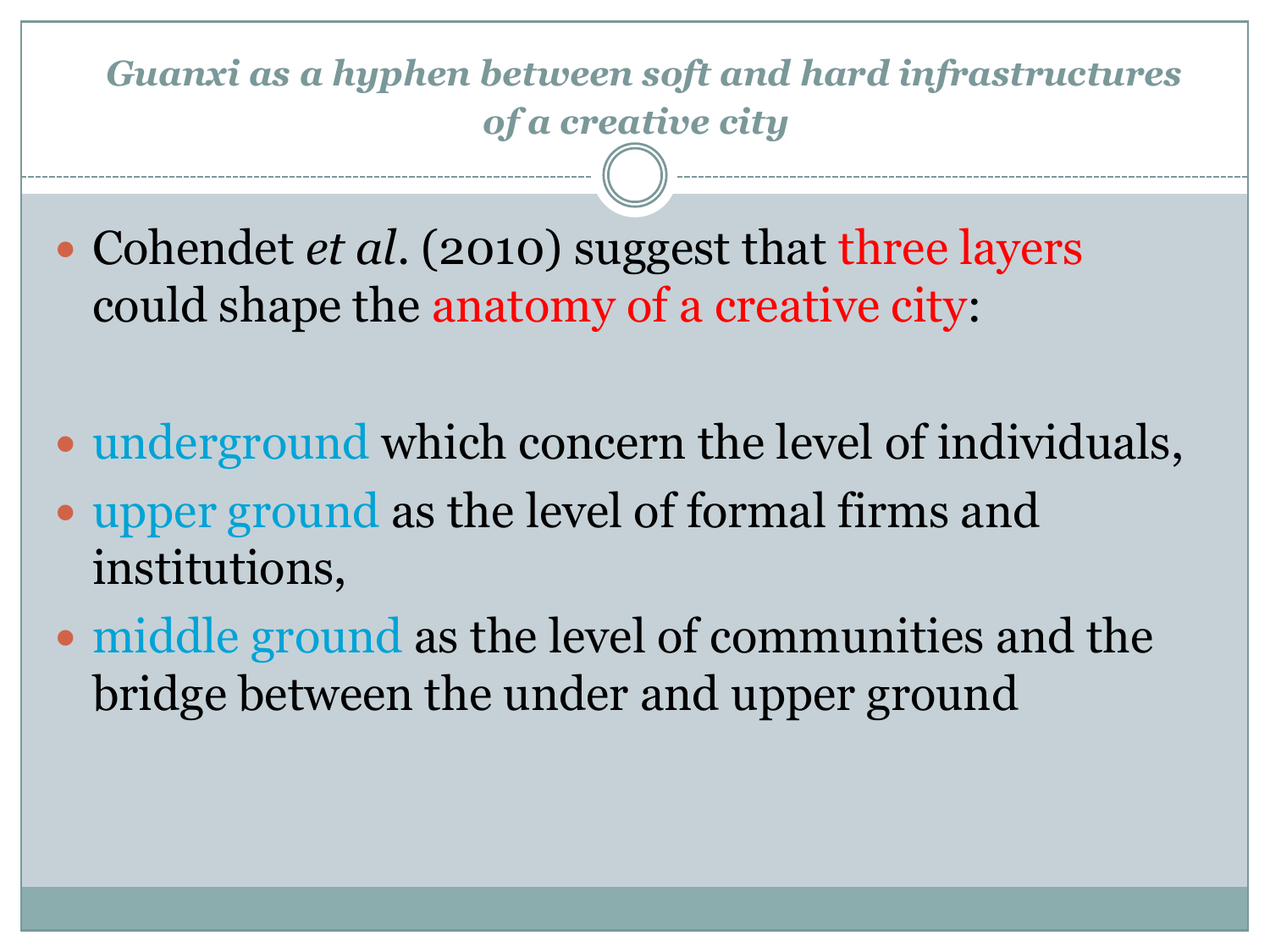*Guanxi as a hyphen between soft and hard infrastructures of a creative city*

• Cohendet *et al.* (2010) suggest that three layers could shape the anatomy of a creative city:

- underground which concern the level of individuals,
- upper ground as the level of formal firms and institutions,
- middle ground as the level of communities and the bridge between the under and upper ground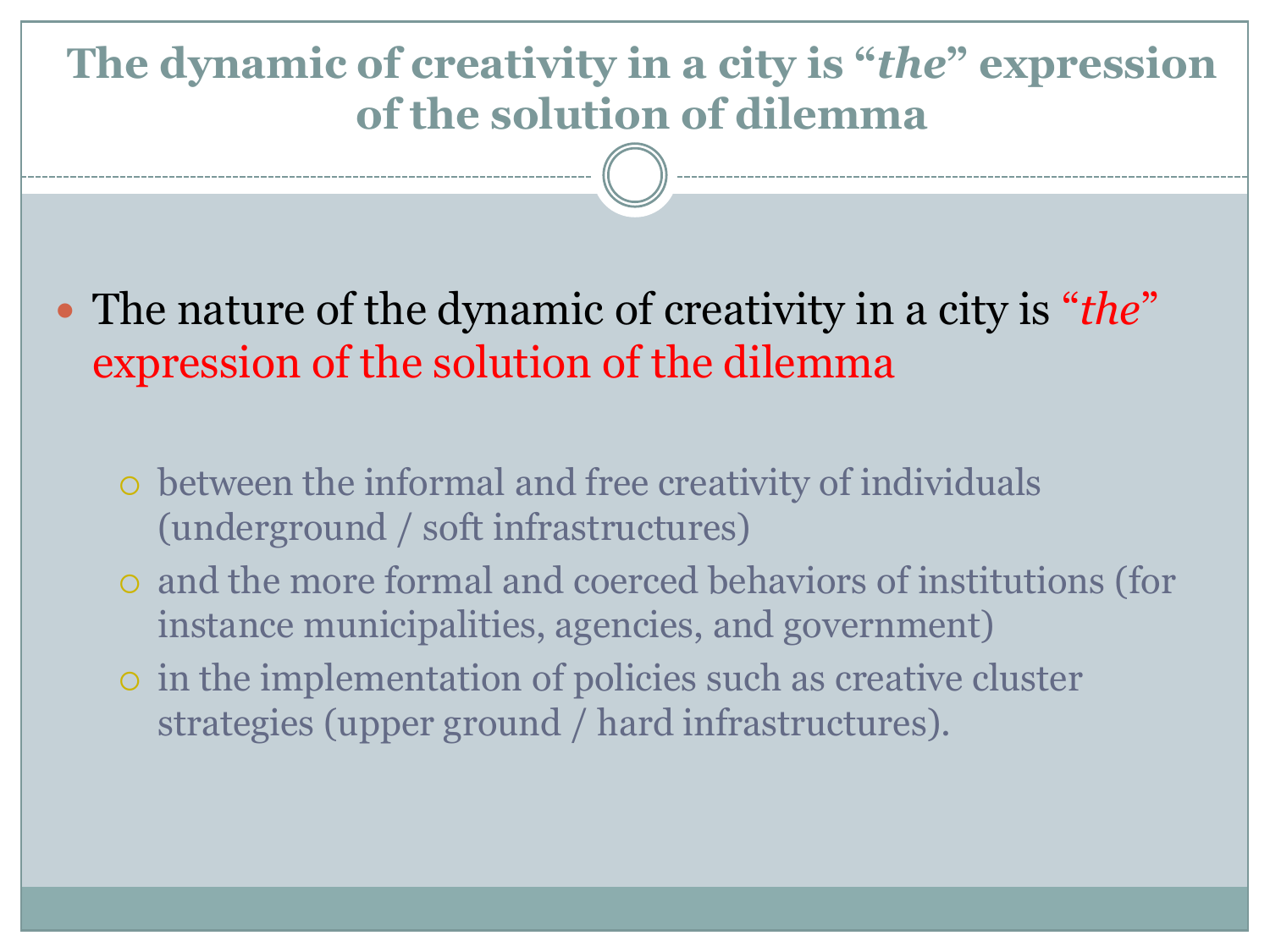### **The dynamic of creativity in a city is "***the***" expression of the solution of dilemma**

 The nature of the dynamic of creativity in a city is "*the*" expression of the solution of the dilemma

- between the informal and free creativity of individuals (underground / soft infrastructures)
- and the more formal and coerced behaviors of institutions (for instance municipalities, agencies, and government)
- in the implementation of policies such as creative cluster strategies (upper ground / hard infrastructures).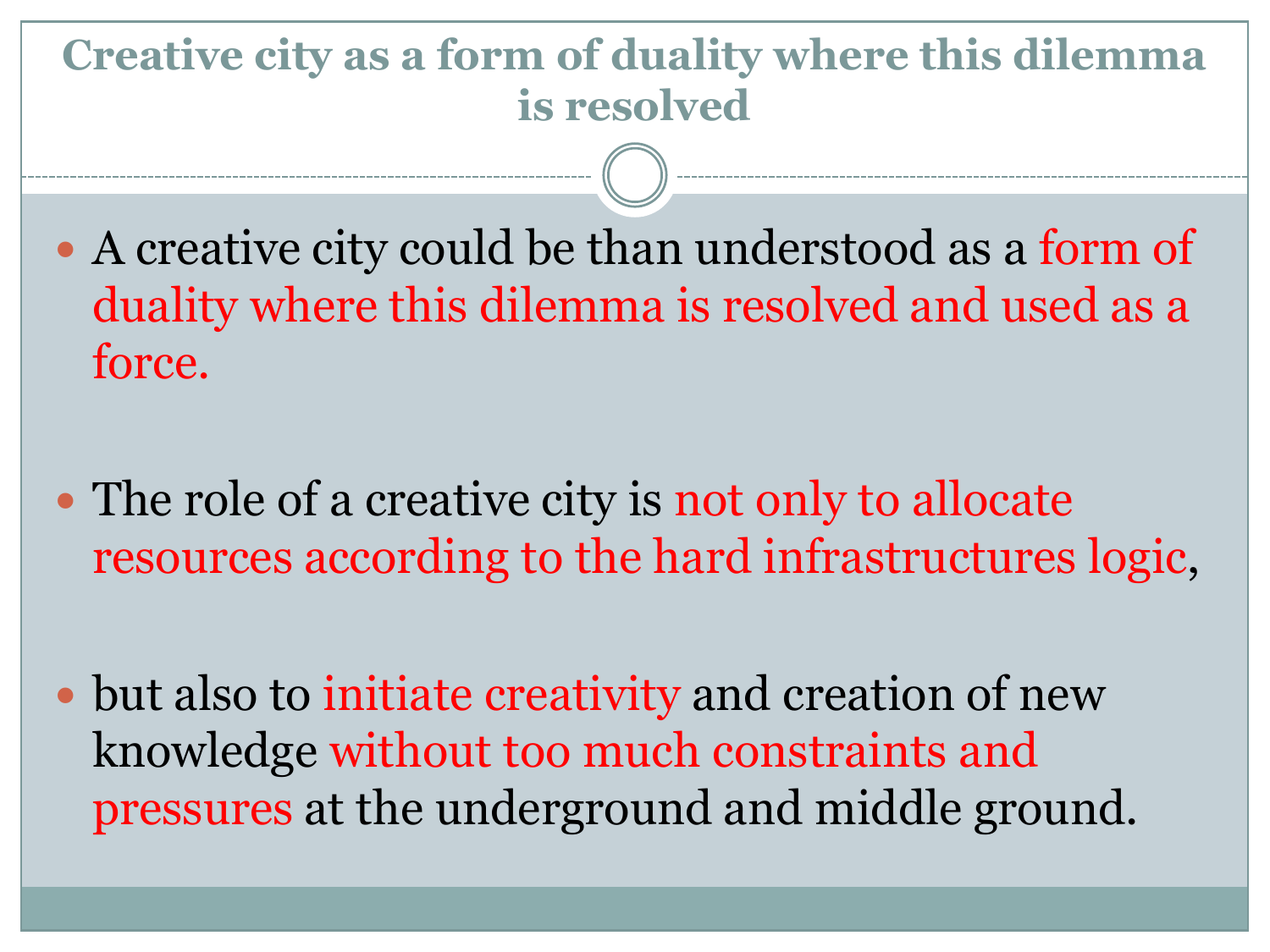### **Creative city as a form of duality where this dilemma is resolved**

- A creative city could be than understood as a form of duality where this dilemma is resolved and used as a force.
- The role of a creative city is not only to allocate resources according to the hard infrastructures logic,
- but also to initiate creativity and creation of new knowledge without too much constraints and pressures at the underground and middle ground.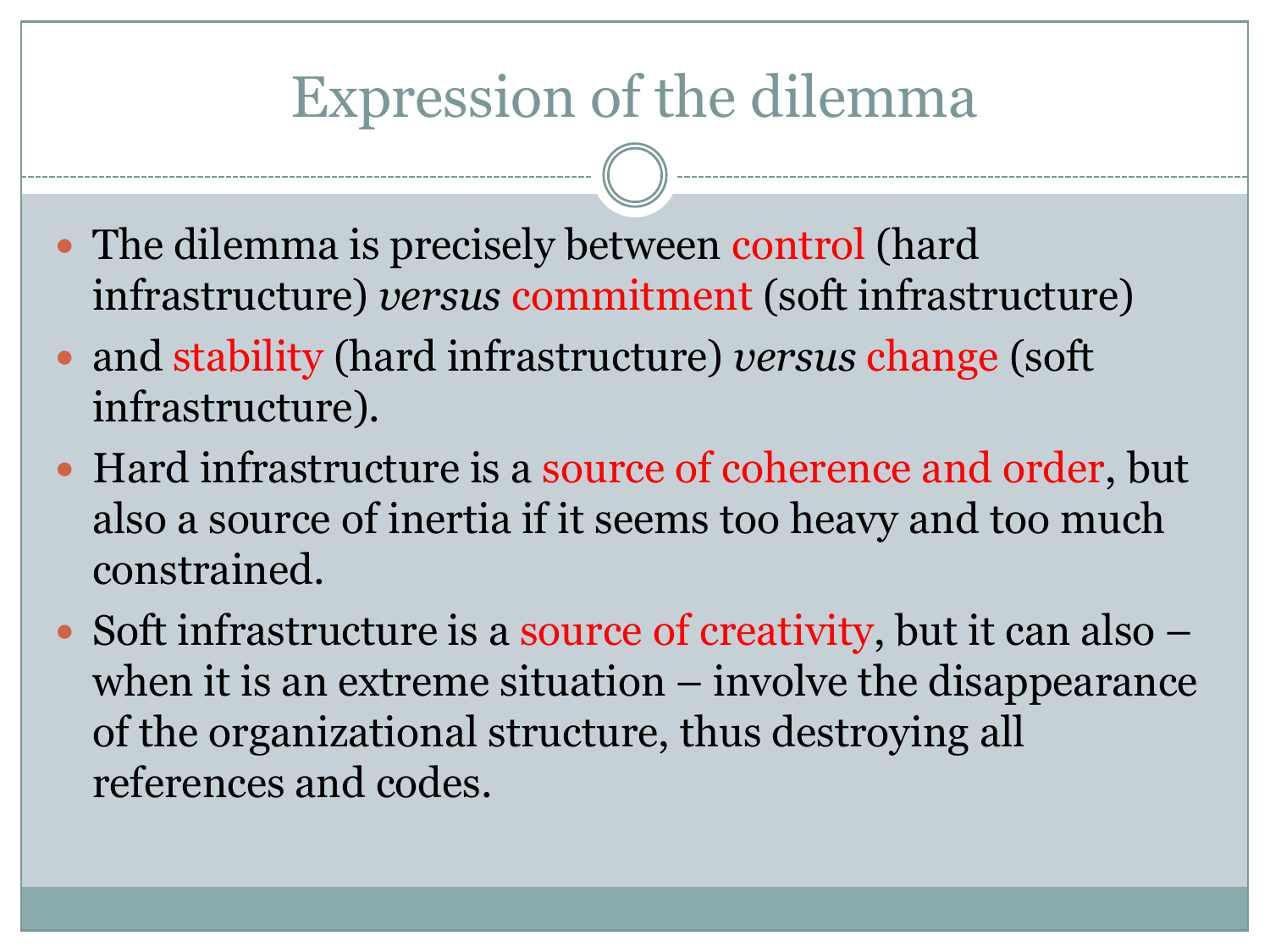## Expression of the dilemma

- The dilemma is precisely between control (hard infrastructure) *versus* commitment (soft infrastructure)
- and stability (hard infrastructure) *versus* change (soft infrastructure).
- Hard infrastructure is a source of coherence and order, but also a source of inertia if it seems too heavy and too much constrained.
- Soft infrastructure is a source of creativity, but it can also when it is an extreme situation – involve the disappearance of the organizational structure, thus destroying all references and codes.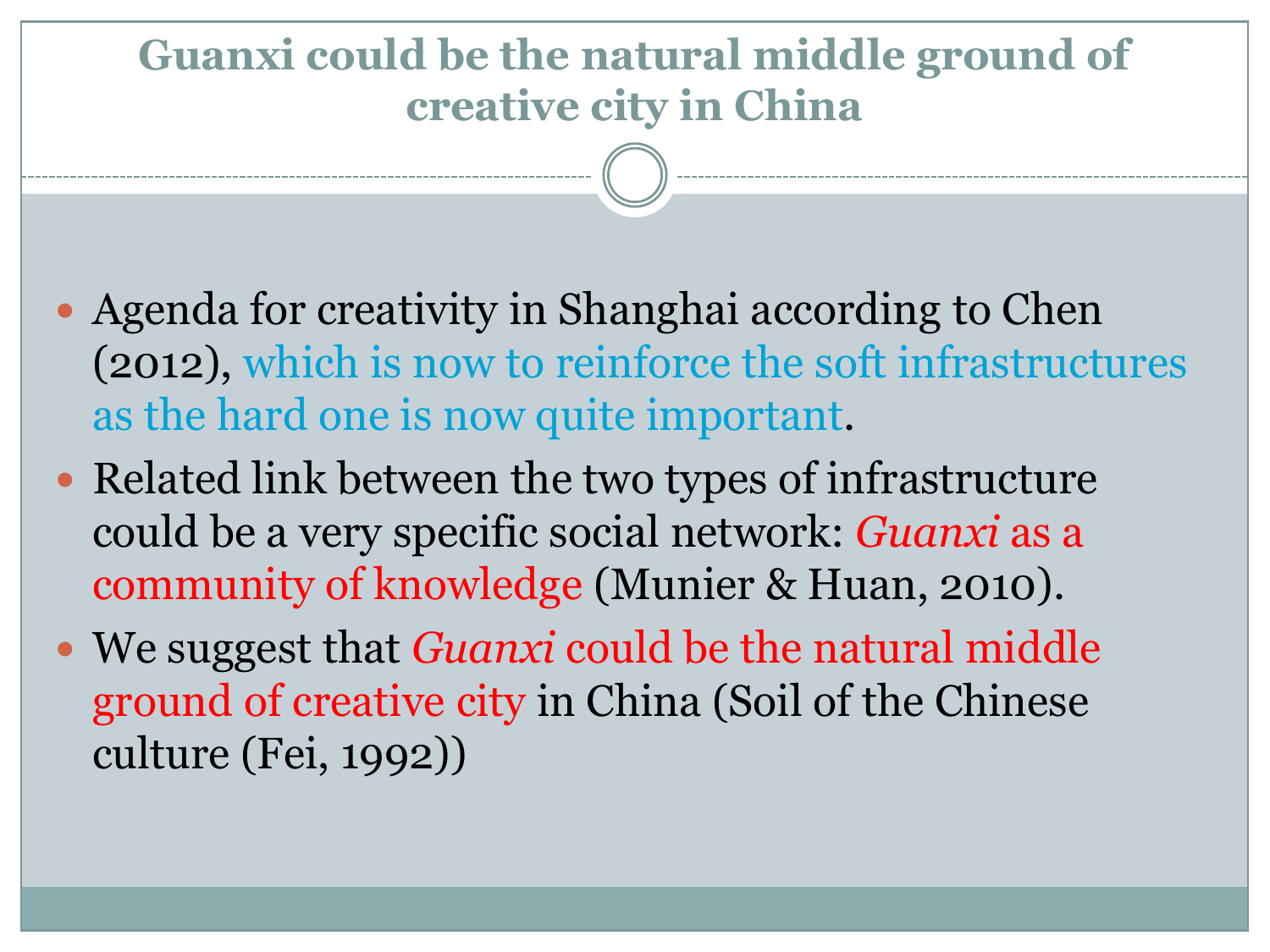### **Guanxi could be the natural middle ground of creative city in China**

- Agenda for creativity in Shanghai according to Chen (2012), which is now to reinforce the soft infrastructures as the hard one is now quite important.
- Related link between the two types of infrastructure could be a very specific social network: *Guanxi* as a community of knowledge (Munier & Huan, 2010).
- We suggest that *Guanxi* could be the natural middle ground of creative city in China (Soil of the Chinese culture (Fei, 1992))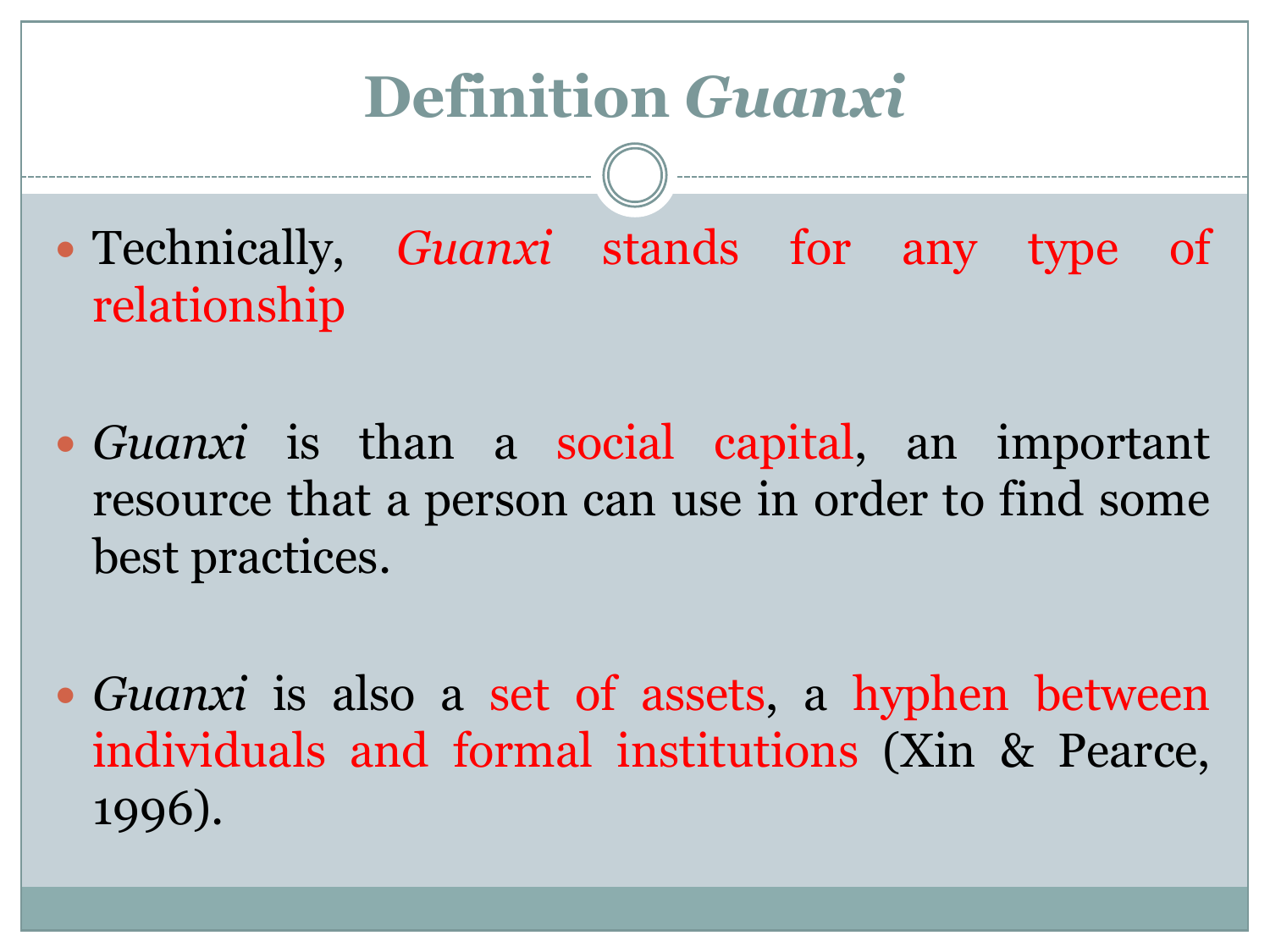

 Technically, *Guanxi* stands for any type of relationship

- *Guanxi* is than a social capital, an important resource that a person can use in order to find some best practices.
- *Guanxi* is also a set of assets, a hyphen between individuals and formal institutions (Xin & Pearce, 1996).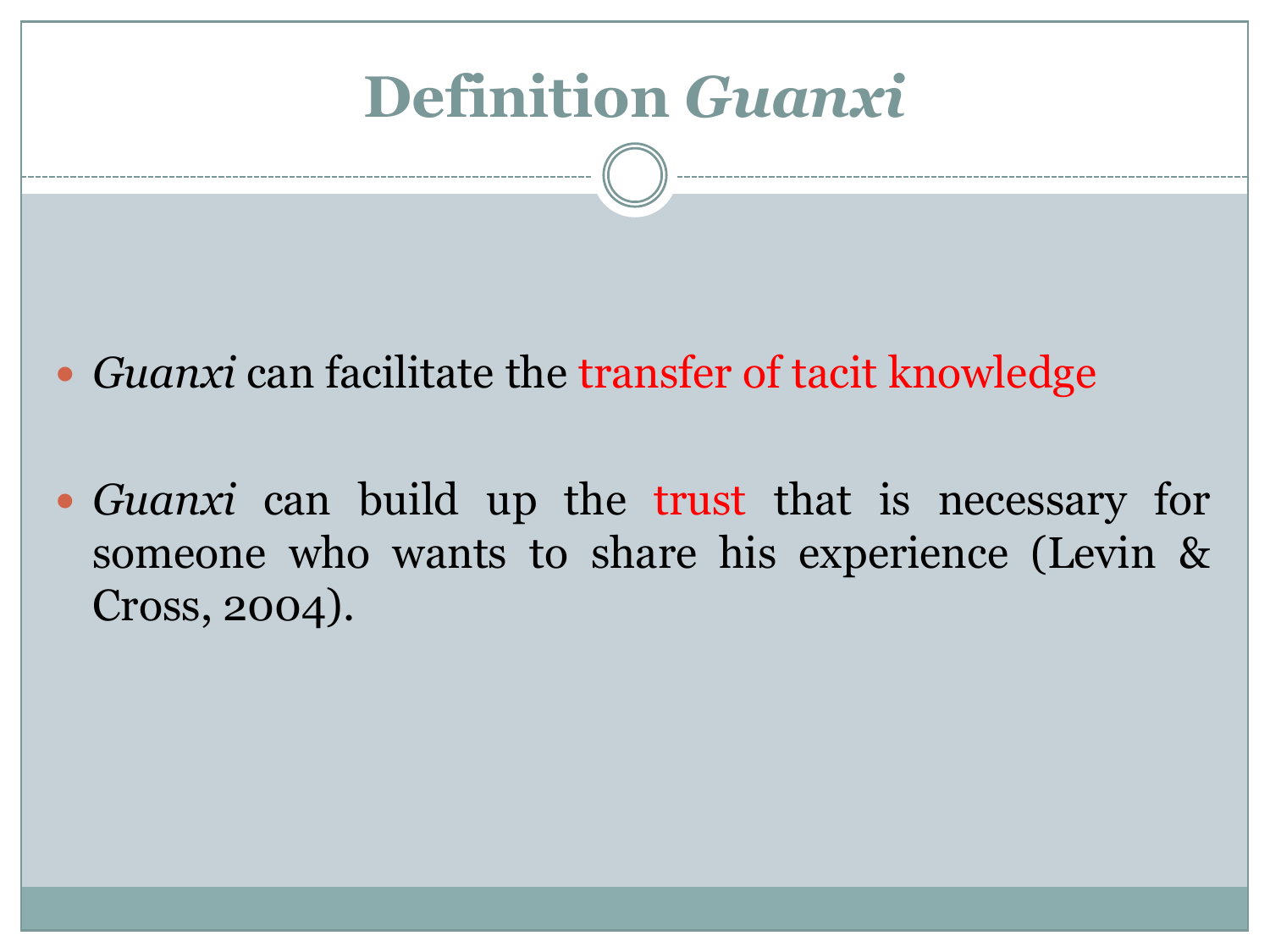## **Definition** *Guanxi*

- *Guanxi* can facilitate the transfer of tacit knowledge
- *Guanxi* can build up the trust that is necessary for someone who wants to share his experience (Levin & Cross, 2004).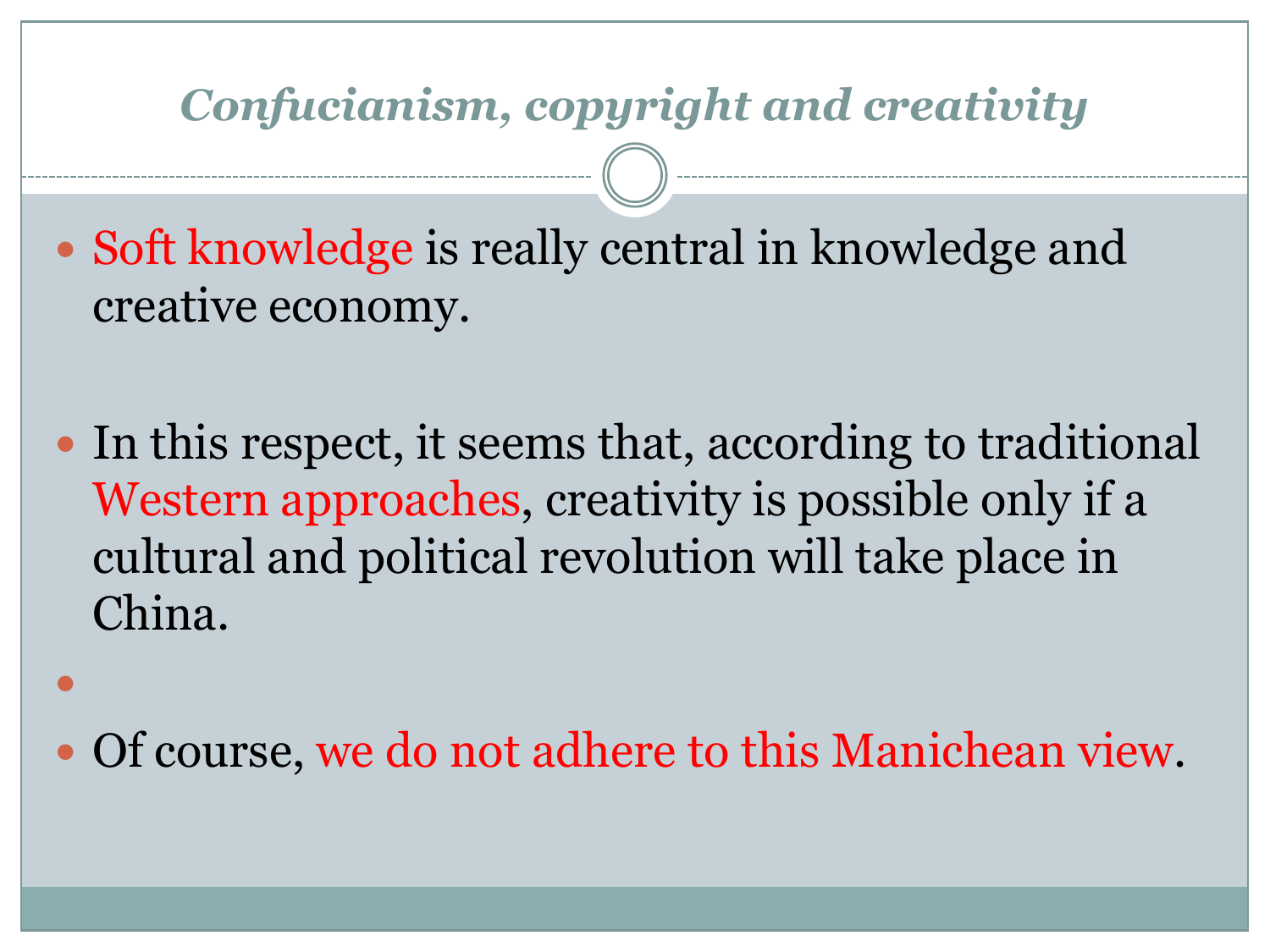### *Confucianism, copyright and creativity*

- Soft knowledge is really central in knowledge and creative economy.
- In this respect, it seems that, according to traditional Western approaches, creativity is possible only if a cultural and political revolution will take place in China.
- Of course, we do not adhere to this Manichean view.

 $\bullet$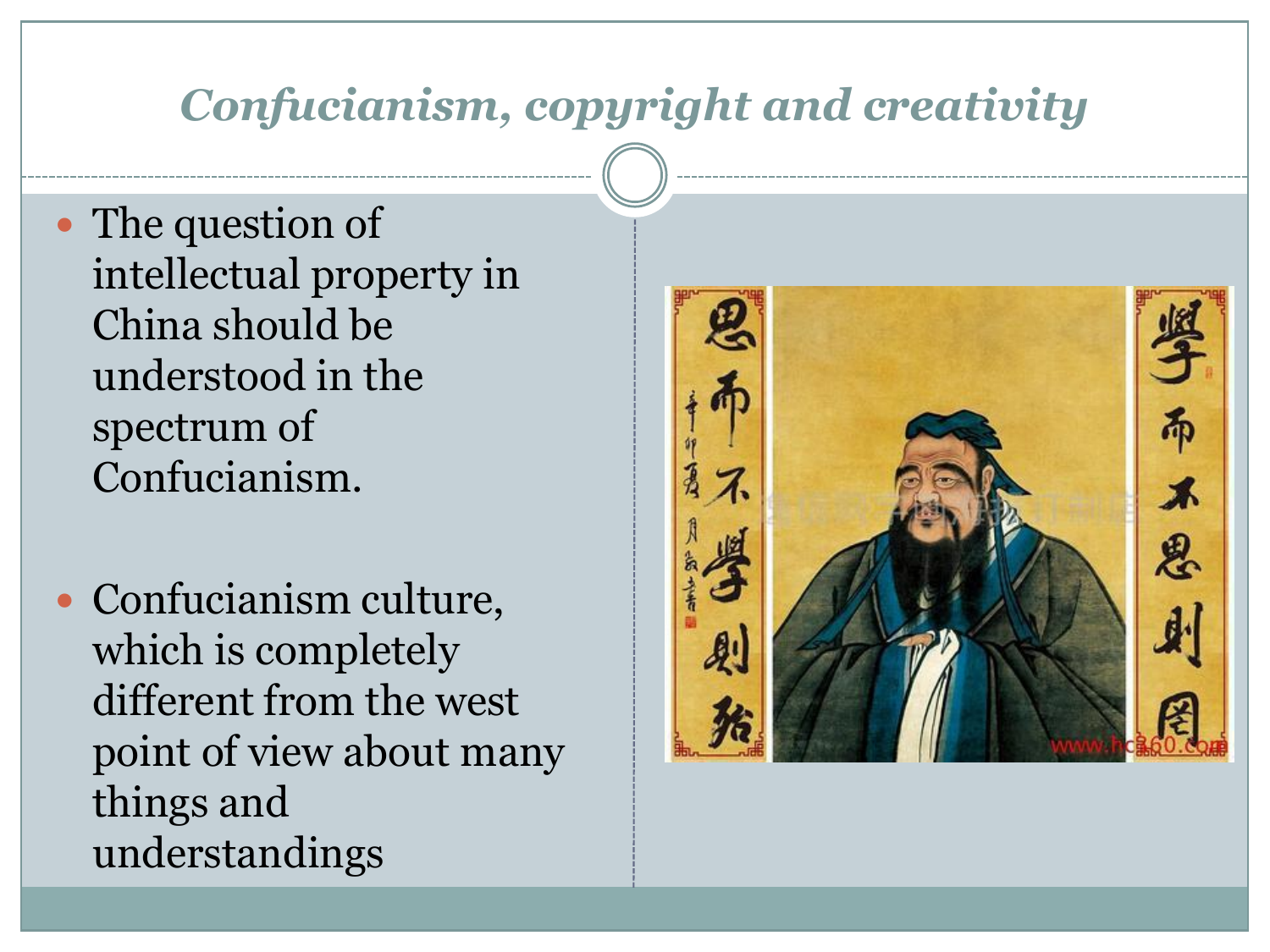### *Confucianism, copyright and creativity*

- The question of intellectual property in China should be understood in the spectrum of Confucianism.
- Confucianism culture, which is completely different from the west point of view about many things and understandings

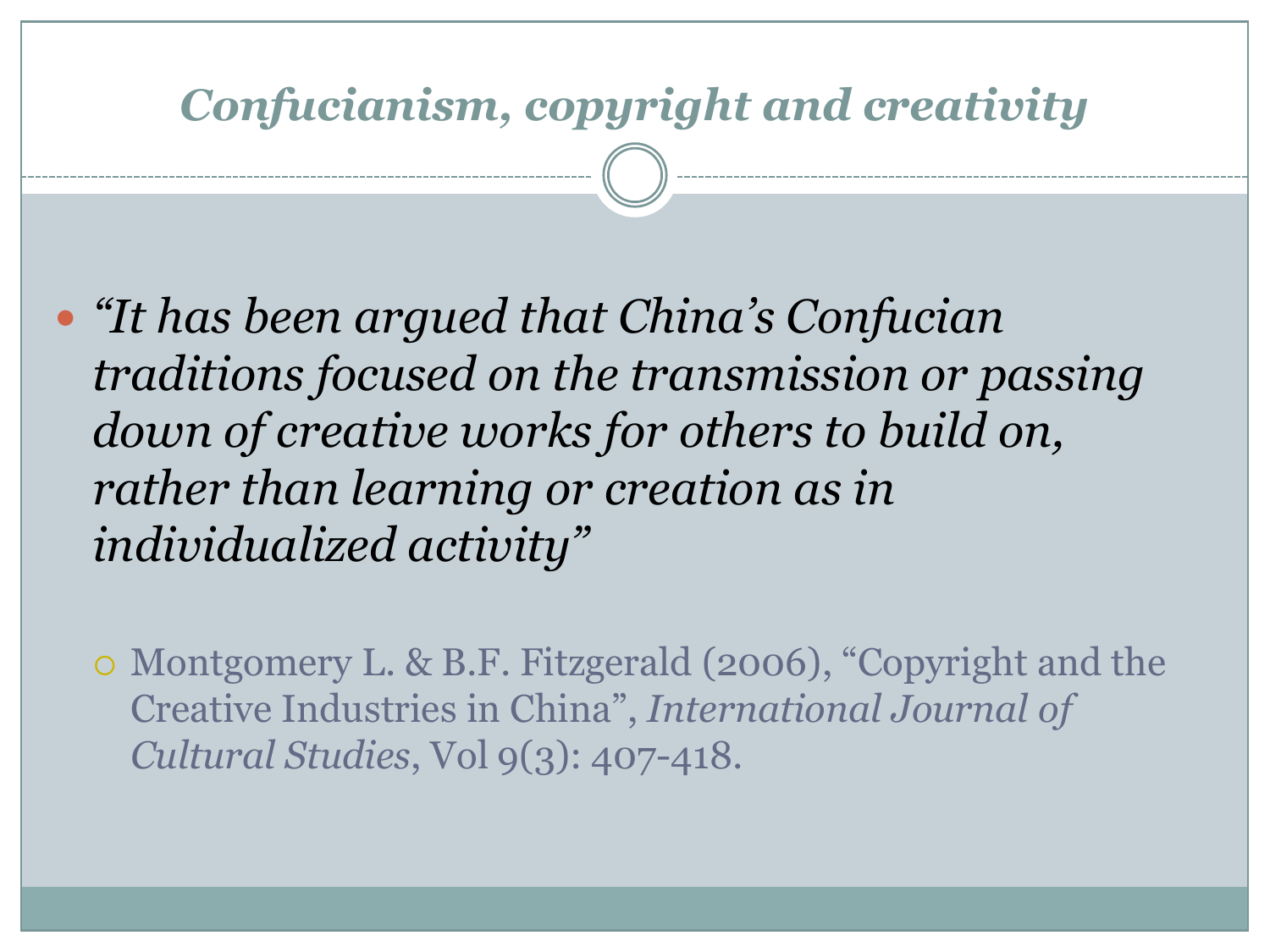### *Confucianism, copyright and creativity*

 *"It has been argued that China"s Confucian traditions focused on the transmission or passing down of creative works for others to build on, rather than learning or creation as in individualized activity"* 

 Montgomery L. & B.F. Fitzgerald (2006), "Copyright and the Creative Industries in China", *International Journal of Cultural Studies*, Vol 9(3): 407-418.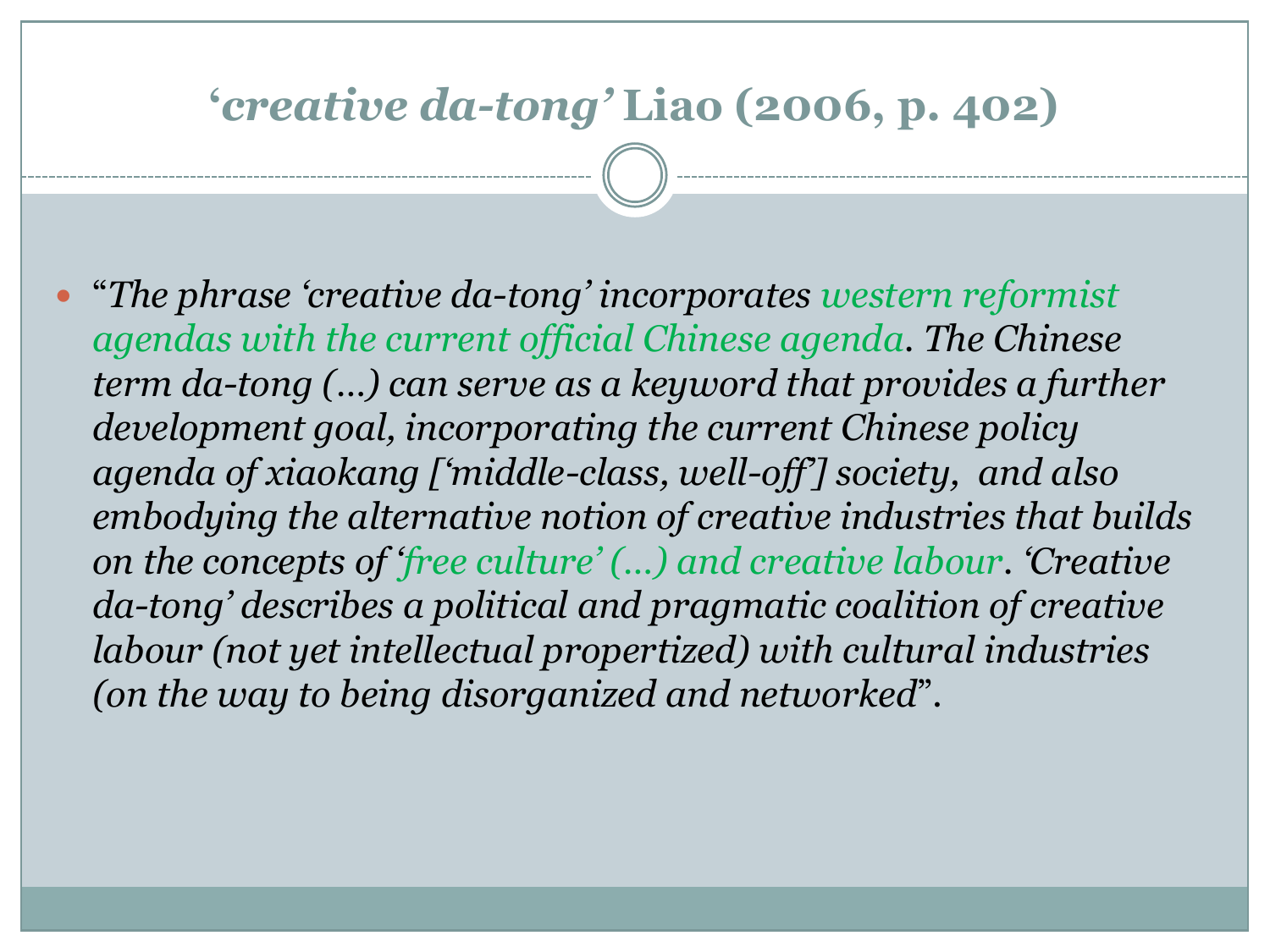### **"***creative da-tong'* **Liao (2006, p. 402)**

 $\bullet$ "*The phrase "creative da-tong" incorporates western reformist agendas with the current official Chinese agenda. The Chinese term da-tong (…) can serve as a keyword that provides a further development goal, incorporating the current Chinese policy agenda of xiaokang ["middle-class, well-off"] society, and also embodying the alternative notion of creative industries that builds on the concepts of "free culture" (…) and creative labour. "Creative da-tong" describes a political and pragmatic coalition of creative labour (not yet intellectual propertized) with cultural industries (on the way to being disorganized and networked*".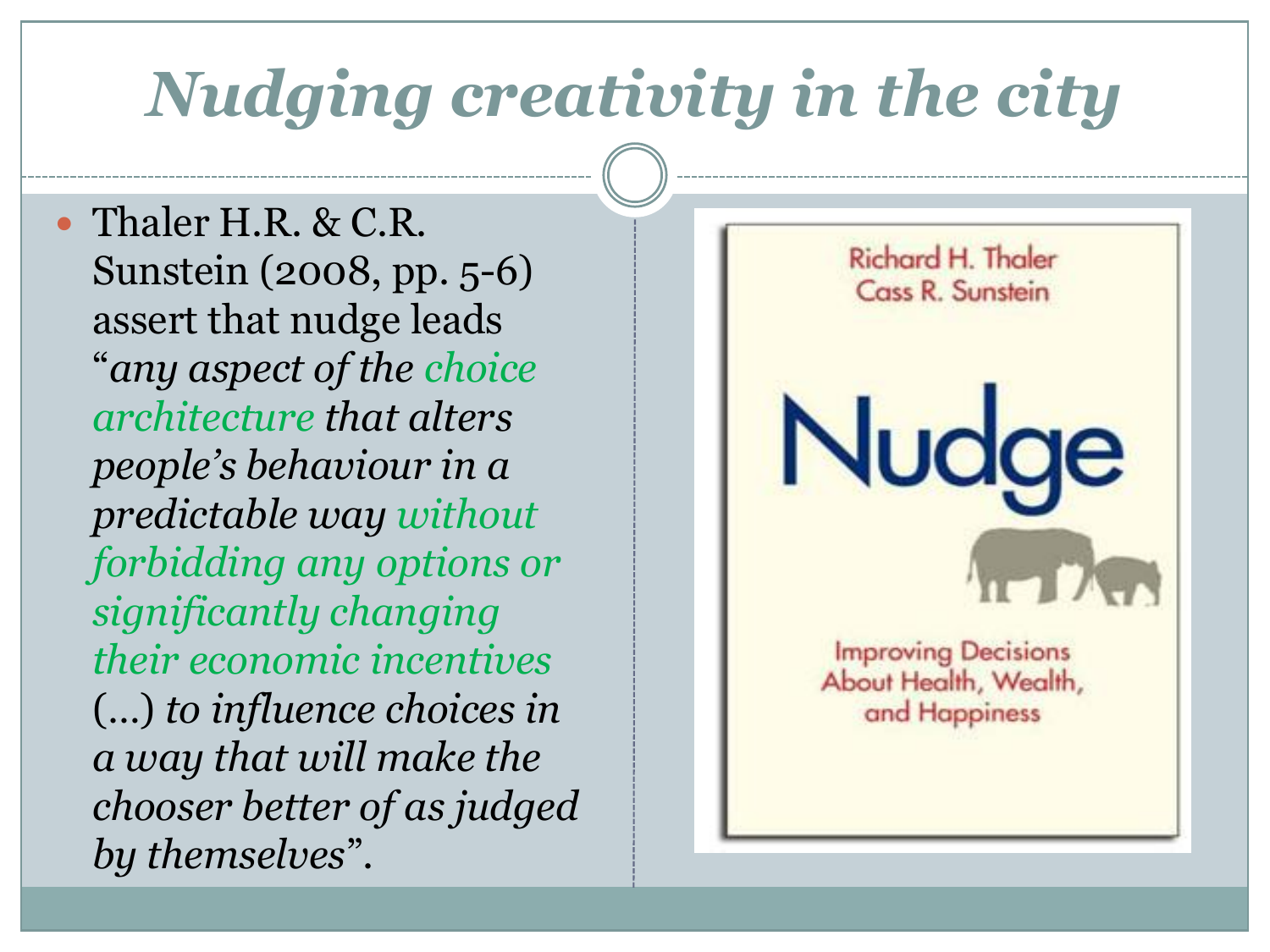• Thaler H.R. & C.R. Sunstein (2008, pp. 5-6) assert that nudge leads "*any aspect of the choice architecture that alters people"s behaviour in a predictable way without forbidding any options or significantly changing their economic incentives* (…) *to influence choices in a way that will make the chooser better of as judged by themselves*".

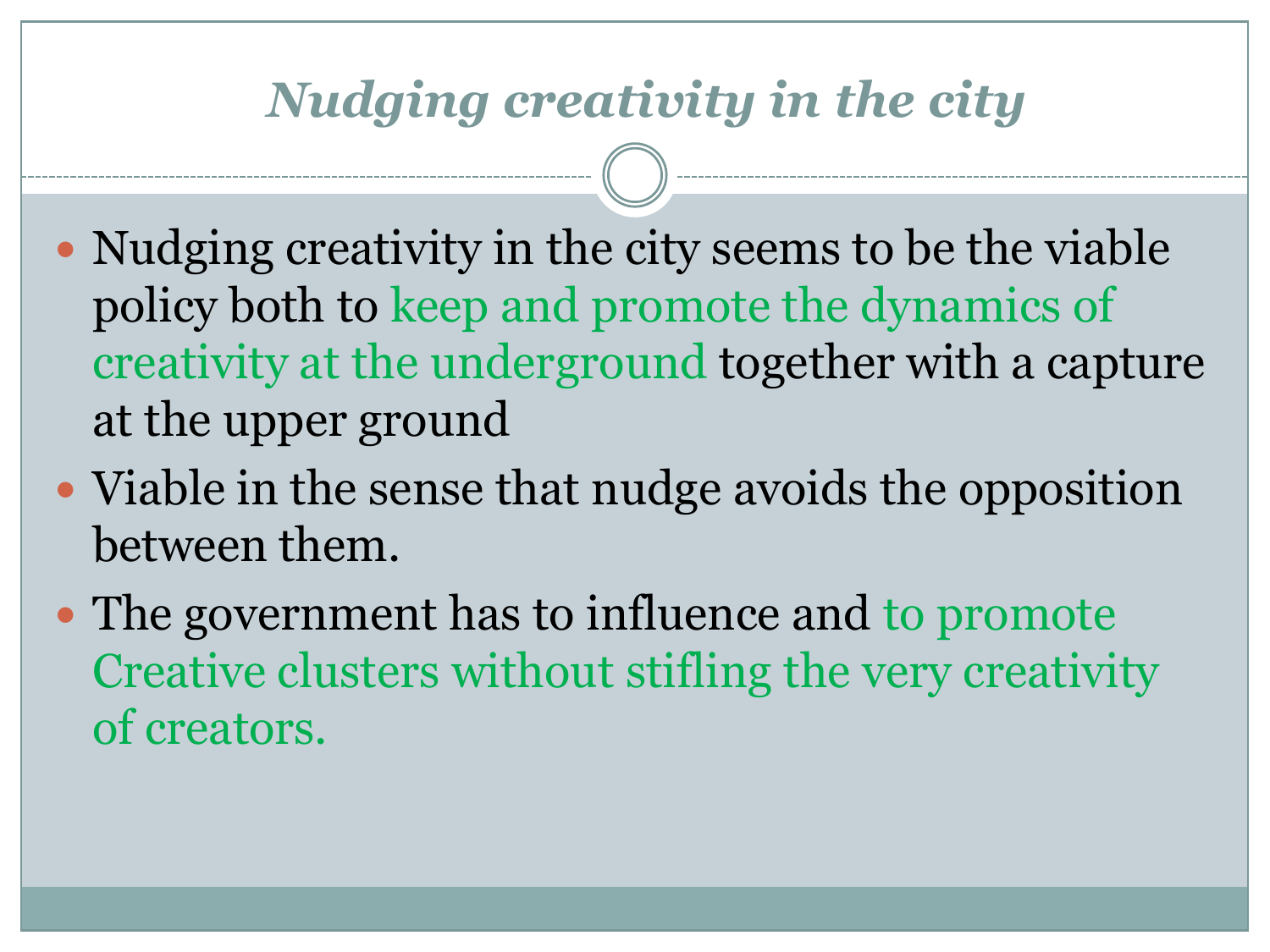- Nudging creativity in the city seems to be the viable policy both to keep and promote the dynamics of creativity at the underground together with a capture at the upper ground
- Viable in the sense that nudge avoids the opposition between them.
- The government has to influence and to promote Creative clusters without stifling the very creativity of creators.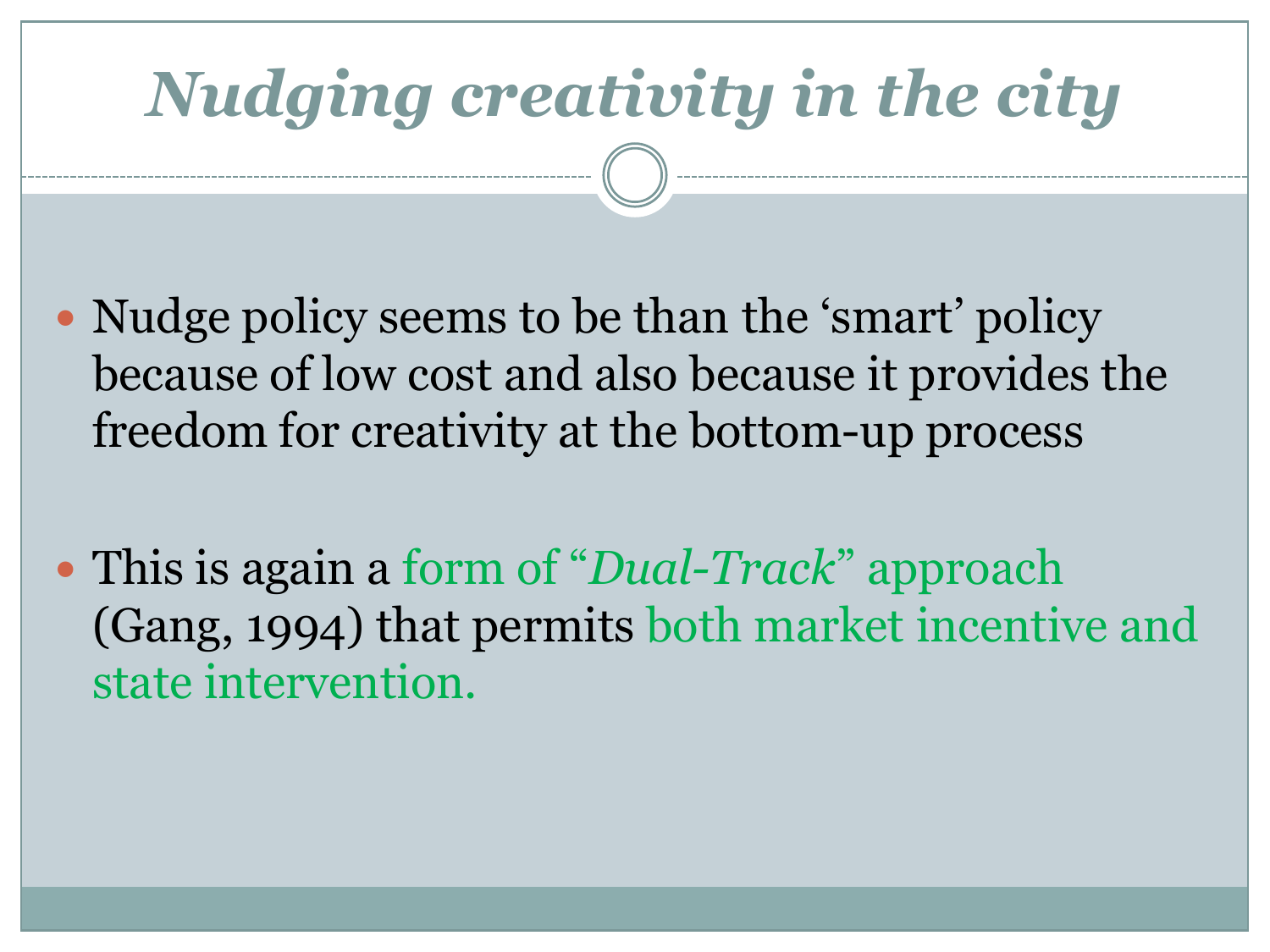- Nudge policy seems to be than the 'smart' policy because of low cost and also because it provides the freedom for creativity at the bottom-up process
- This is again a form of "*Dual-Track*" approach (Gang, 1994) that permits both market incentive and state intervention.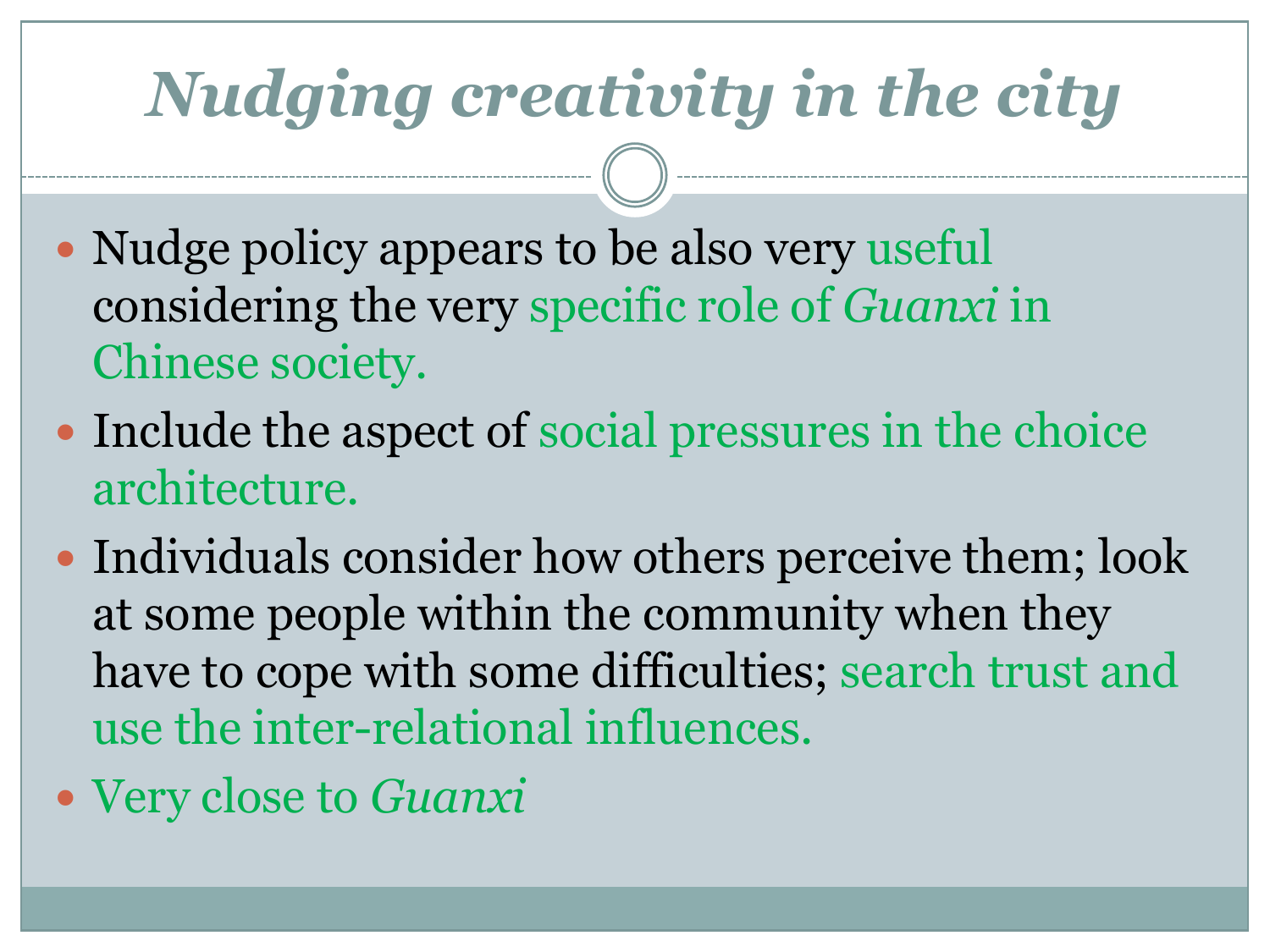- Nudge policy appears to be also very useful considering the very specific role of *Guanxi* in Chinese society.
- Include the aspect of social pressures in the choice architecture.
- Individuals consider how others perceive them; look at some people within the community when they have to cope with some difficulties; search trust and use the inter-relational influences.
- Very close to *Guanxi*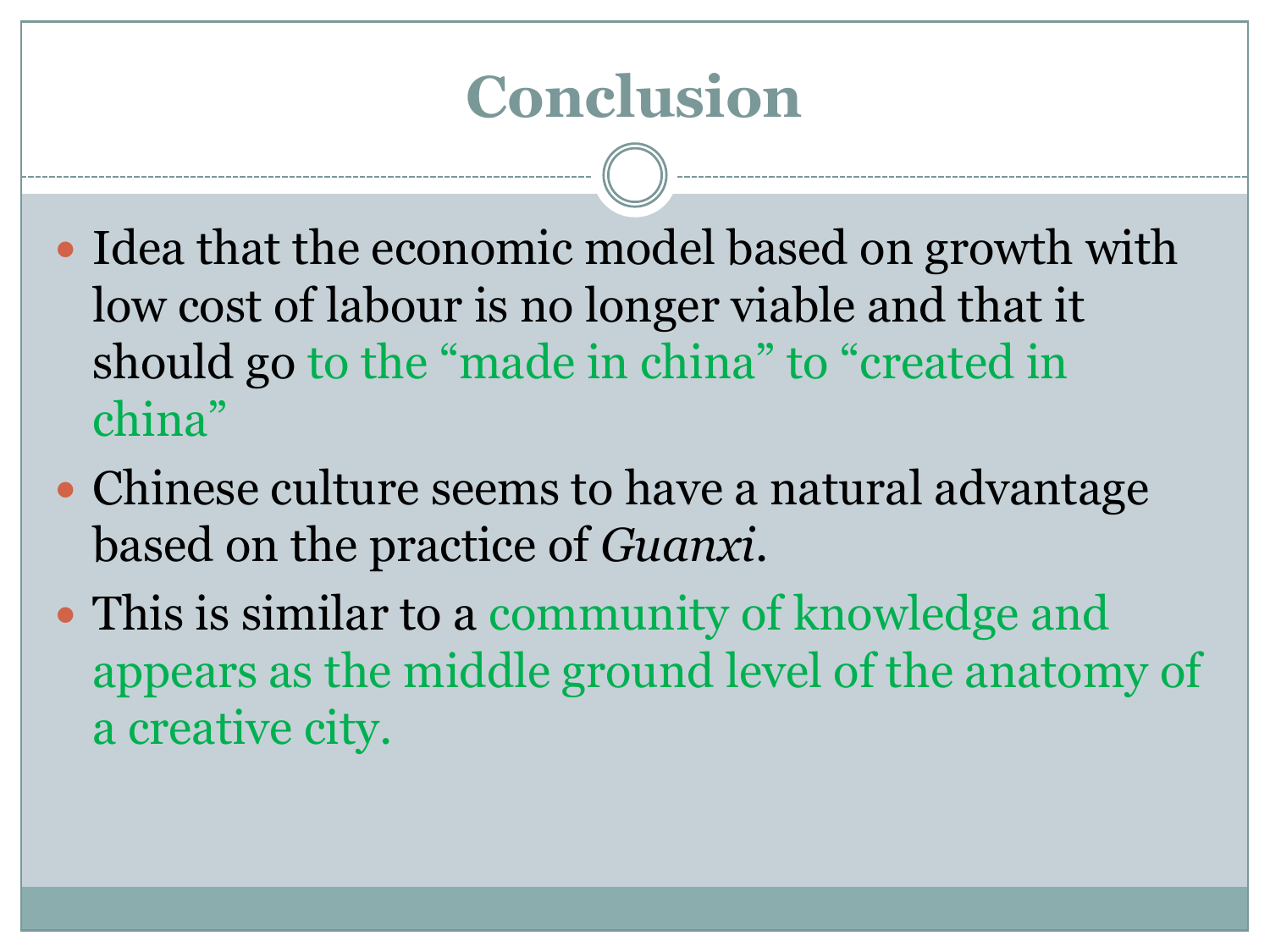## **Conclusion**

- Idea that the economic model based on growth with low cost of labour is no longer viable and that it should go to the "made in china" to "created in china"
- Chinese culture seems to have a natural advantage based on the practice of *Guanxi*.
- This is similar to a community of knowledge and appears as the middle ground level of the anatomy of a creative city.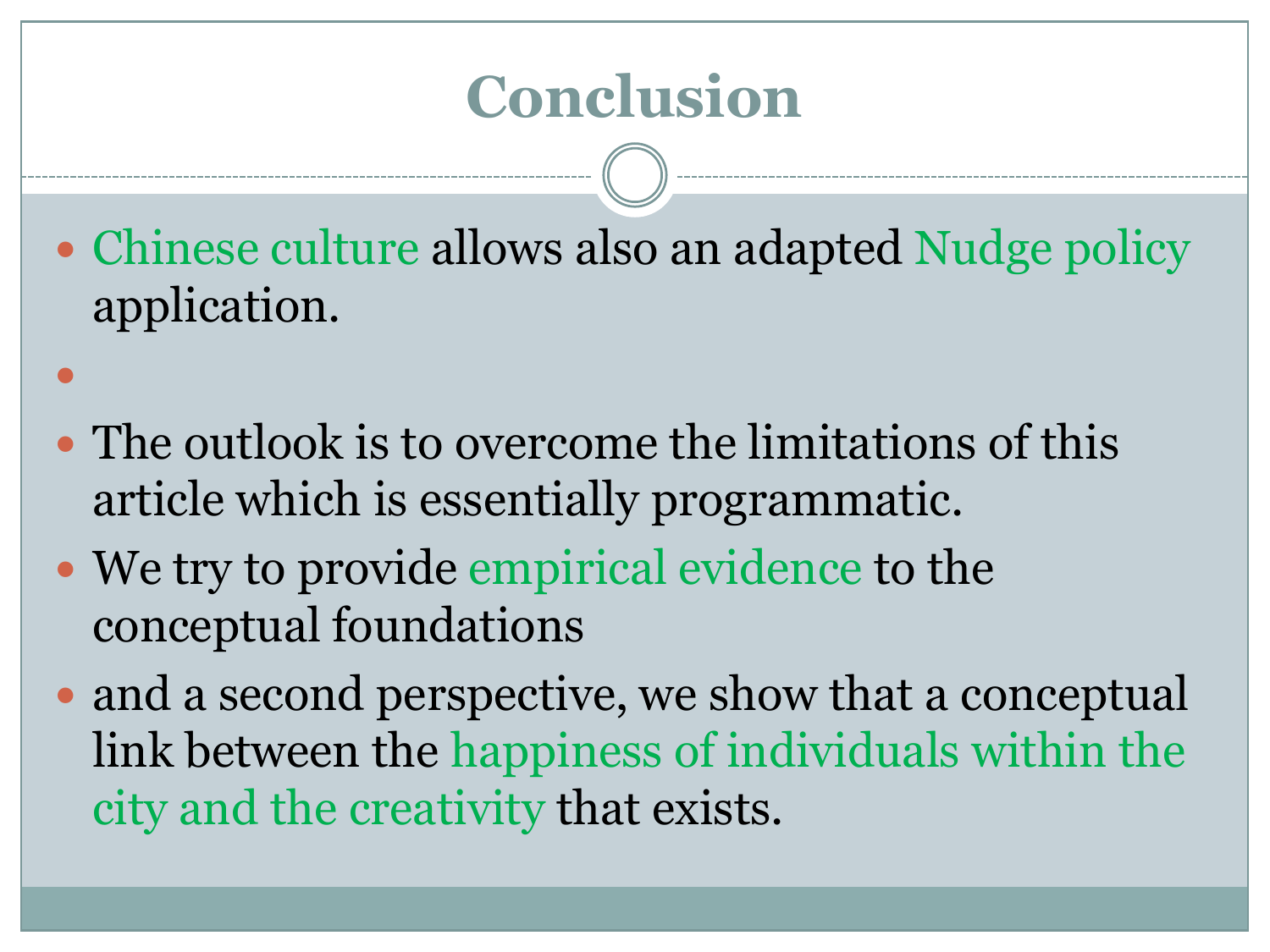## **Conclusion**

- Chinese culture allows also an adapted Nudge policy application.
- The outlook is to overcome the limitations of this article which is essentially programmatic.
- We try to provide empirical evidence to the conceptual foundations

 $\bullet$ 

• and a second perspective, we show that a conceptual link between the happiness of individuals within the city and the creativity that exists.